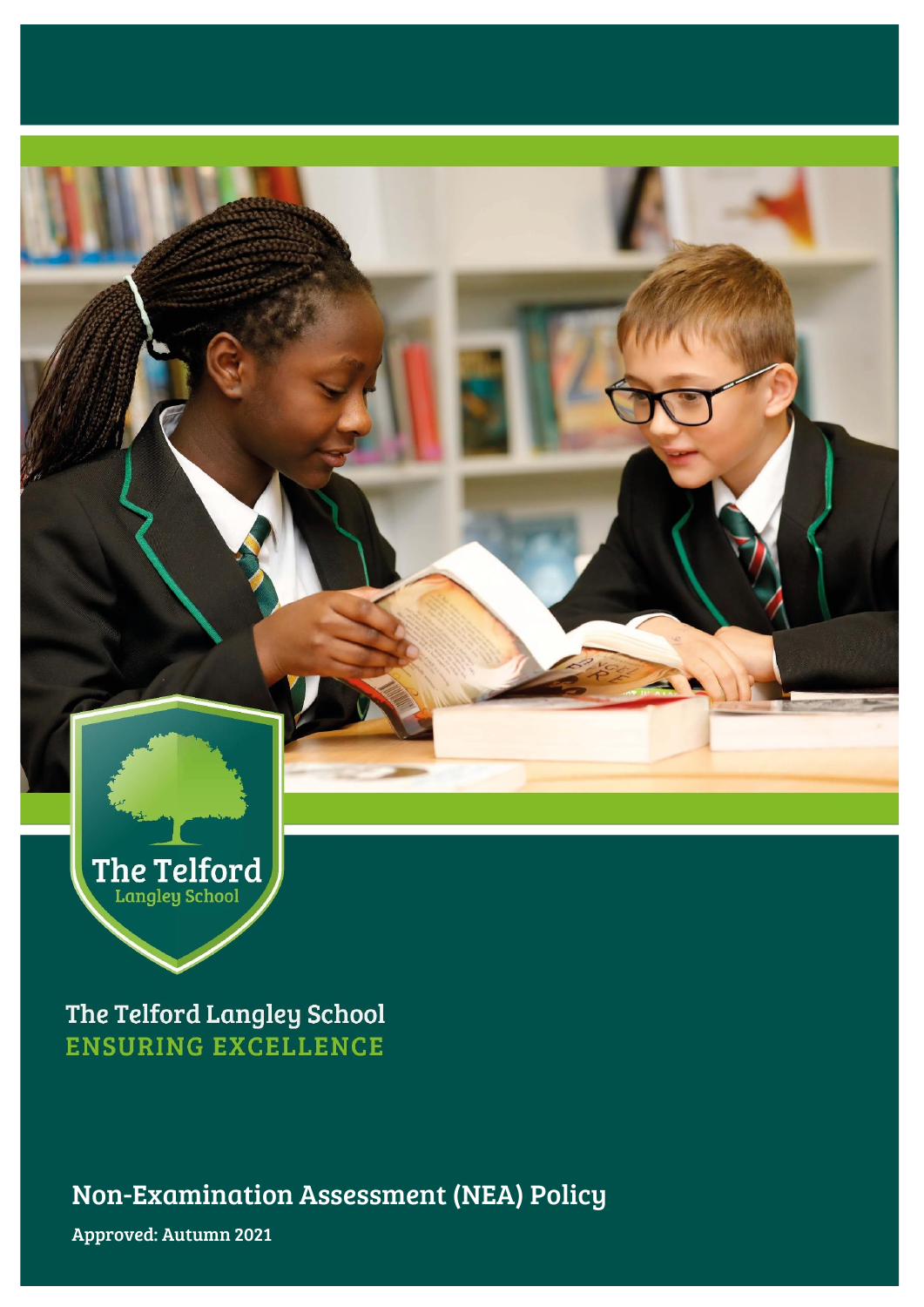

The Telford Langley School **ENSURING EXCELLENCE** 

Non-Examination Assessment (NEA) Policy

Approved: Autumn 2021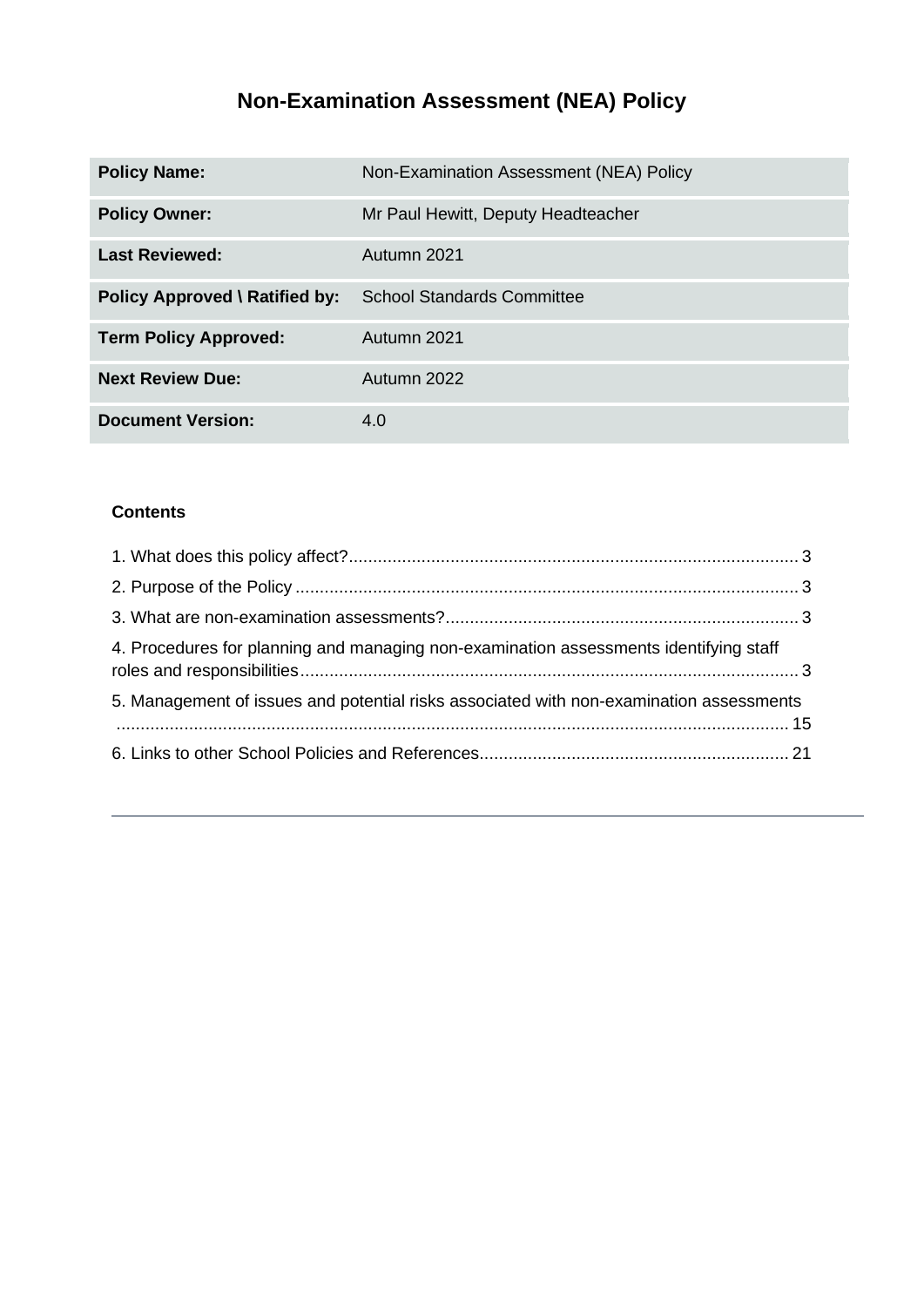# **Non-Examination Assessment (NEA) Policy**

| <b>Policy Name:</b>            | Non-Examination Assessment (NEA) Policy |
|--------------------------------|-----------------------------------------|
| <b>Policy Owner:</b>           | Mr Paul Hewitt, Deputy Headteacher      |
| <b>Last Reviewed:</b>          | Autumn 2021                             |
| Policy Approved \ Ratified by: | <b>School Standards Committee</b>       |
| <b>Term Policy Approved:</b>   | Autumn 2021                             |
| <b>Next Review Due:</b>        | Autumn 2022                             |
| <b>Document Version:</b>       | 4.0                                     |

## **Contents**

| 4. Procedures for planning and managing non-examination assessments identifying staff   |  |
|-----------------------------------------------------------------------------------------|--|
| 5. Management of issues and potential risks associated with non-examination assessments |  |
|                                                                                         |  |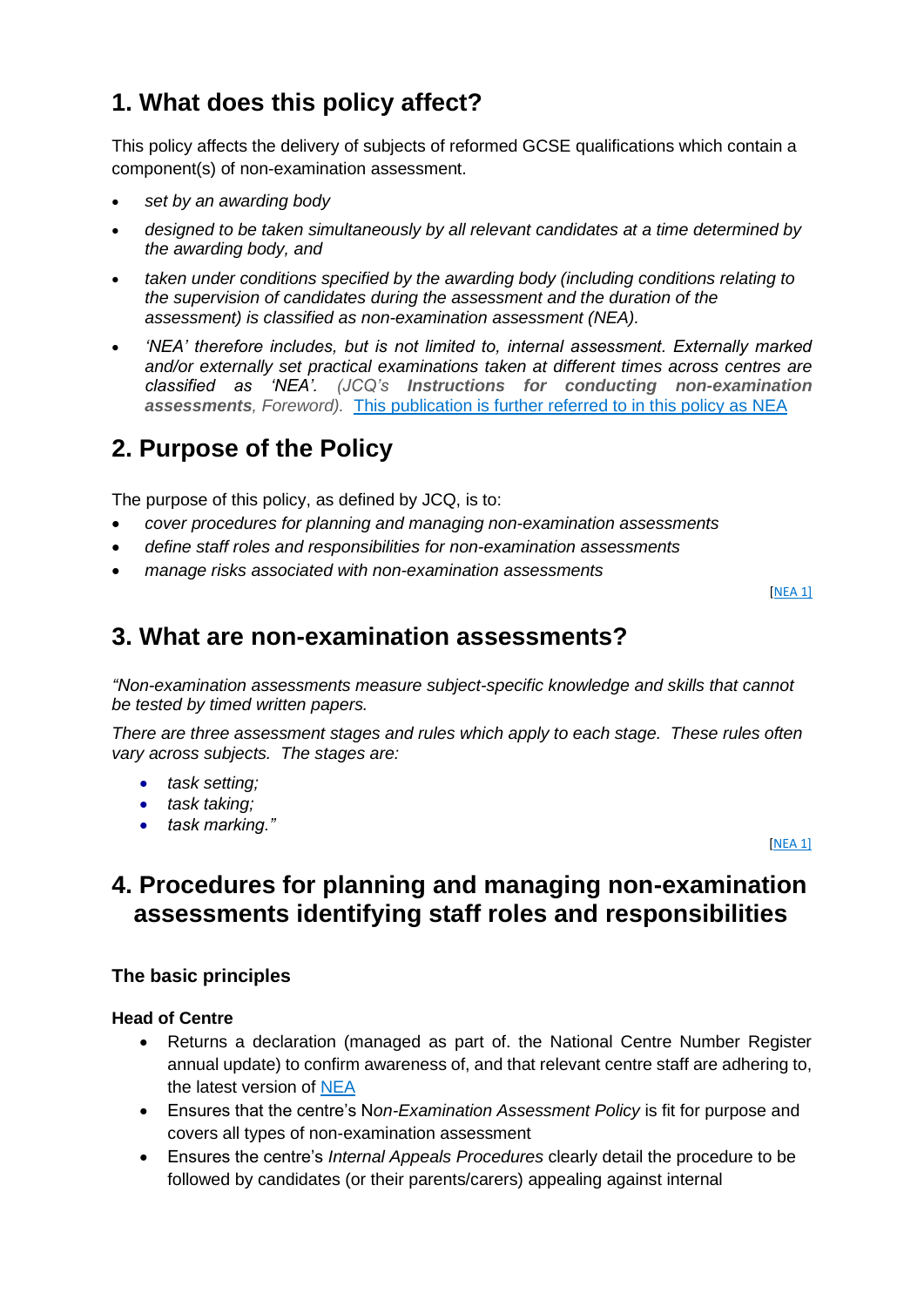# <span id="page-2-0"></span>**1. What does this policy affect?**

This policy affects the delivery of subjects of reformed GCSE qualifications which contain a component(s) of non-examination assessment.

- *set by an awarding body*
- *designed to be taken simultaneously by all relevant candidates at a time determined by the awarding body, and*
- *taken under conditions specified by the awarding body (including conditions relating to the supervision of candidates during the assessment and the duration of the assessment) is classified as non-examination assessment (NEA).*
- *'NEA' therefore includes, but is not limited to, internal assessment. Externally marked and/or externally set practical examinations taken at different times across centres are classified as 'NEA'. (JCQ's Instructions for conducting non-examination assessments, Foreword).* This publication is further referred to in this policy as [NEA](http://www.jcq.org.uk/exams-office/non-examination-assessments)

## <span id="page-2-1"></span>**2. Purpose of the Policy**

The purpose of this policy, as defined by JCQ, is to:

- *cover procedures for planning and managing non-examination assessments*
- *define staff roles and responsibilities for non-examination assessments*
- *manage risks associated with non-examination assessments*

[\[NEA](http://www.jcq.org.uk/exams-office/non-examination-assessments) 1]

## <span id="page-2-2"></span>**3. What are non-examination assessments?**

*"Non-examination assessments measure subject-specific knowledge and skills that cannot be tested by timed written papers.* 

*There are three assessment stages and rules which apply to each stage. These rules often vary across subjects. The stages are:* 

- *task setting;*
- *task taking;*
- *task marking."*

[\[NEA](http://www.jcq.org.uk/exams-office/non-examination-assessments) 1]

## <span id="page-2-3"></span>**4. Procedures for planning and managing non-examination assessments identifying staff roles and responsibilities**

#### **The basic principles**

#### **Head of Centre**

- Returns a declaration (managed as part of. the National Centre Number Register annual update) to confirm awareness of, and that relevant centre staff are adhering to, the latest version of [NEA](http://www.jcq.org.uk/exams-office/non-examination-assessments)
- Ensures that the centre's N*on-Examination Assessment Policy* is fit for purpose and covers all types of non-examination assessment
- Ensures the centre's *Internal Appeals Procedures* clearly detail the procedure to be followed by candidates (or their parents/carers) appealing against internal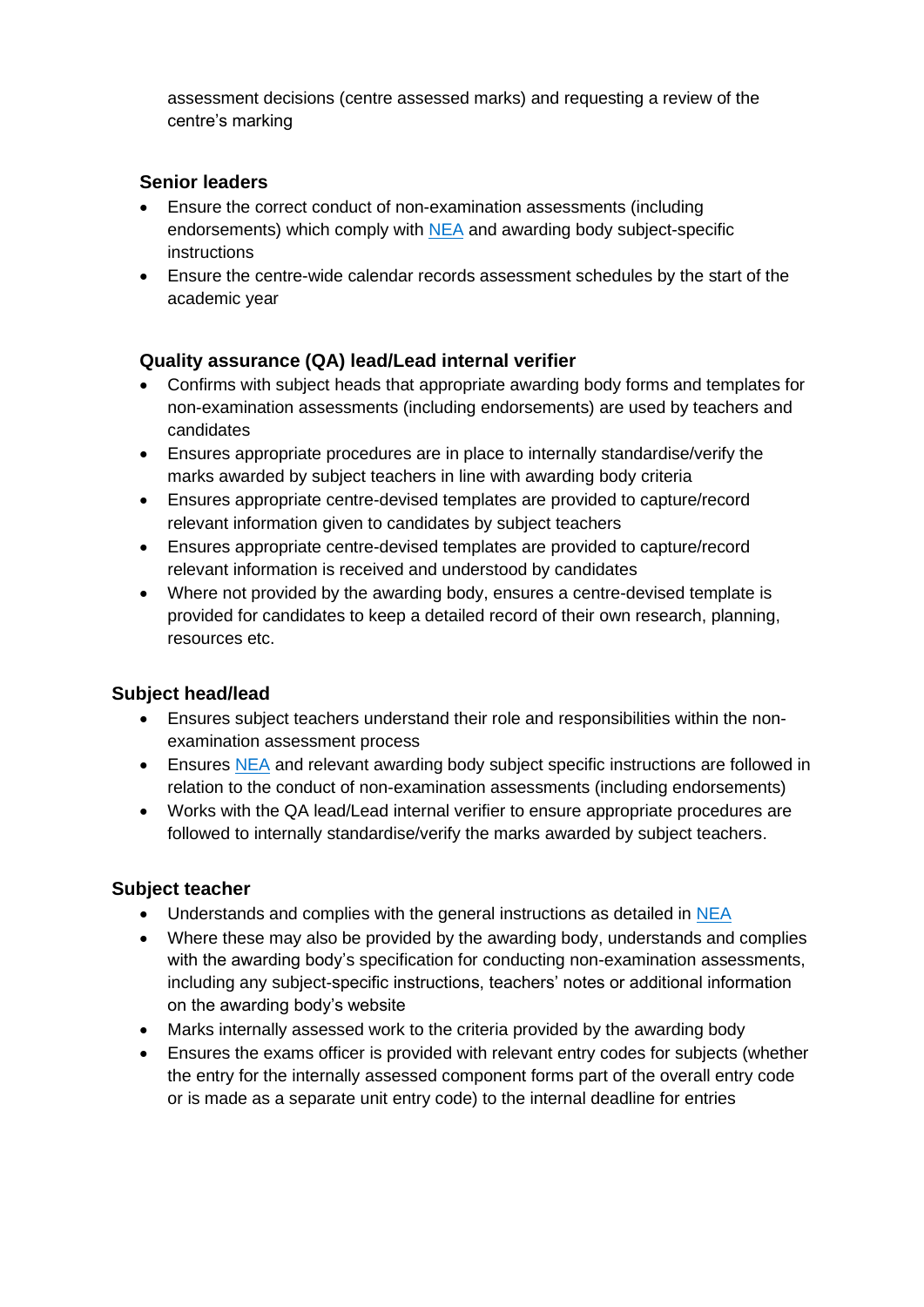assessment decisions (centre assessed marks) and requesting a review of the centre's marking

## **Senior leaders**

- Ensure the correct conduct of non-examination assessments (including endorsements) which comply with [NEA](http://www.jcq.org.uk/exams-office/non-examination-assessments) and awarding body subject-specific instructions
- Ensure the centre-wide calendar records assessment schedules by the start of the academic year

## **Quality assurance (QA) lead/Lead internal verifier**

- Confirms with subject heads that appropriate awarding body forms and templates for non-examination assessments (including endorsements) are used by teachers and candidates
- Ensures appropriate procedures are in place to internally standardise/verify the marks awarded by subject teachers in line with awarding body criteria
- Ensures appropriate centre-devised templates are provided to capture/record relevant information given to candidates by subject teachers
- Ensures appropriate centre-devised templates are provided to capture/record relevant information is received and understood by candidates
- Where not provided by the awarding body, ensures a centre-devised template is provided for candidates to keep a detailed record of their own research, planning, resources etc.

## **Subject head/lead**

- Ensures subject teachers understand their role and responsibilities within the nonexamination assessment process
- Ensures [NEA](http://www.jcq.org.uk/exams-office/non-examination-assessments) and relevant awarding body subject specific instructions are followed in relation to the conduct of non-examination assessments (including endorsements)
- Works with the QA lead/Lead internal verifier to ensure appropriate procedures are followed to internally standardise/verify the marks awarded by subject teachers.

- Understands and complies with the general instructions as detailed in [NEA](http://www.jcq.org.uk/exams-office/non-examination-assessments)
- Where these may also be provided by the awarding body, understands and complies with the awarding body's specification for conducting non-examination assessments, including any subject-specific instructions, teachers' notes or additional information on the awarding body's website
- Marks internally assessed work to the criteria provided by the awarding body
- Ensures the exams officer is provided with relevant entry codes for subjects (whether the entry for the internally assessed component forms part of the overall entry code or is made as a separate unit entry code) to the internal deadline for entries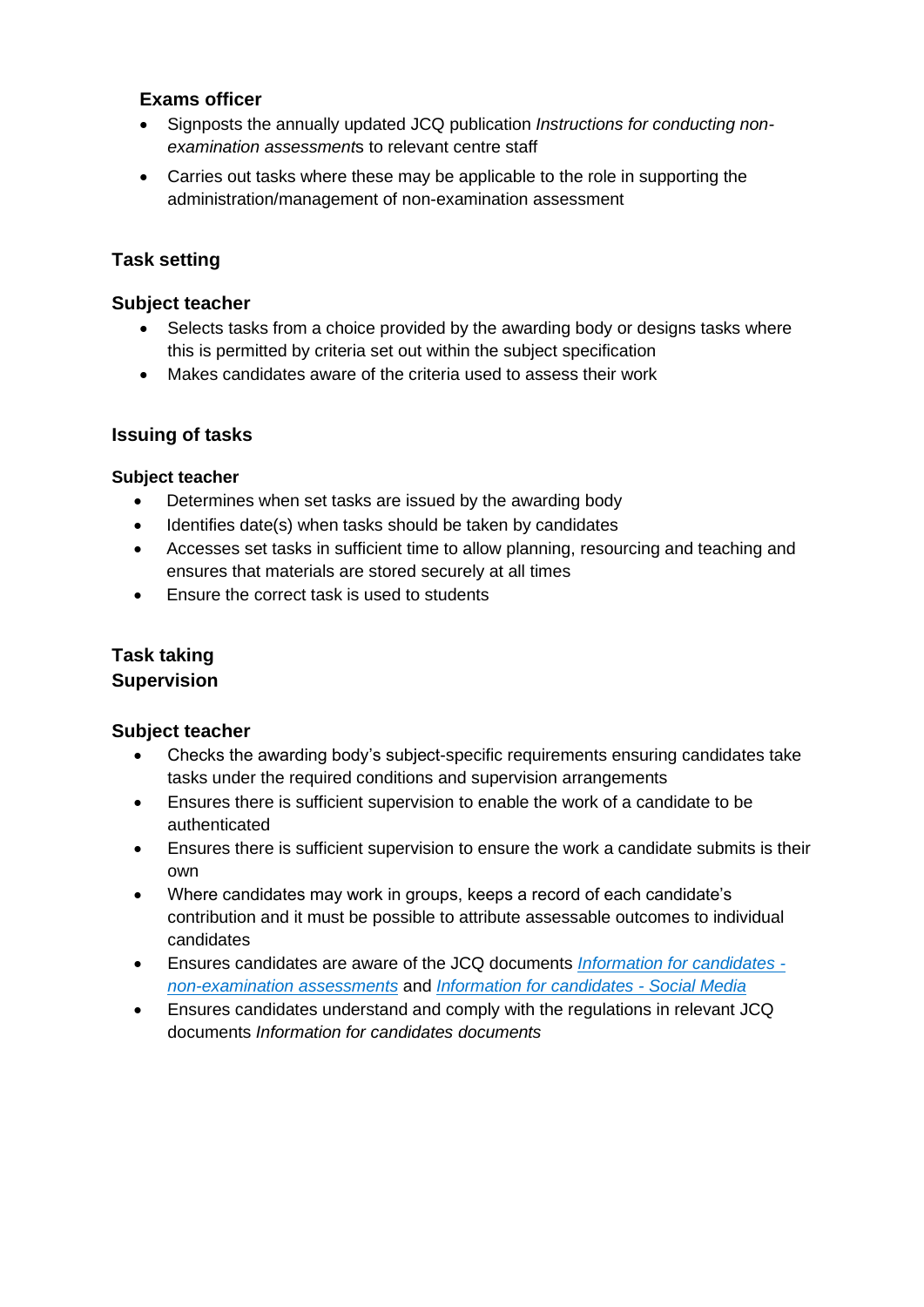#### **Exams officer**

- Signposts the annually updated JCQ publication *Instructions for conducting nonexamination assessment*s to relevant centre staff
- Carries out tasks where these may be applicable to the role in supporting the administration/management of non-examination assessment

## **Task setting**

### **Subject teacher**

- Selects tasks from a choice provided by the awarding body or designs tasks where this is permitted by criteria set out within the subject specification
- Makes candidates aware of the criteria used to assess their work

## **Issuing of tasks**

#### **Subject teacher**

- Determines when set tasks are issued by the awarding body
- Identifies date(s) when tasks should be taken by candidates
- Accesses set tasks in sufficient time to allow planning, resourcing and teaching and ensures that materials are stored securely at all times
- Ensure the correct task is used to students

## **Task taking Supervision**

- Checks the awarding body's subject-specific requirements ensuring candidates take tasks under the required conditions and supervision arrangements
- Ensures there is sufficient supervision to enable the work of a candidate to be authenticated
- Ensures there is sufficient supervision to ensure the work a candidate submits is their own
- Where candidates may work in groups, keeps a record of each candidate's contribution and it must be possible to attribute assessable outcomes to individual candidates
- Ensures candidates are aware of the JCQ documents *[Information for candidates](http://www.jcq.org.uk/exams-office/information-for-candidates-documents)  [non-examination assessments](http://www.jcq.org.uk/exams-office/information-for-candidates-documents)* and *[Information for candidates -](http://www.jcq.org.uk/exams-office/information-for-candidates-documents) Social Media*
- Ensures candidates understand and comply with the regulations in relevant JCQ documents *Information for candidates documents*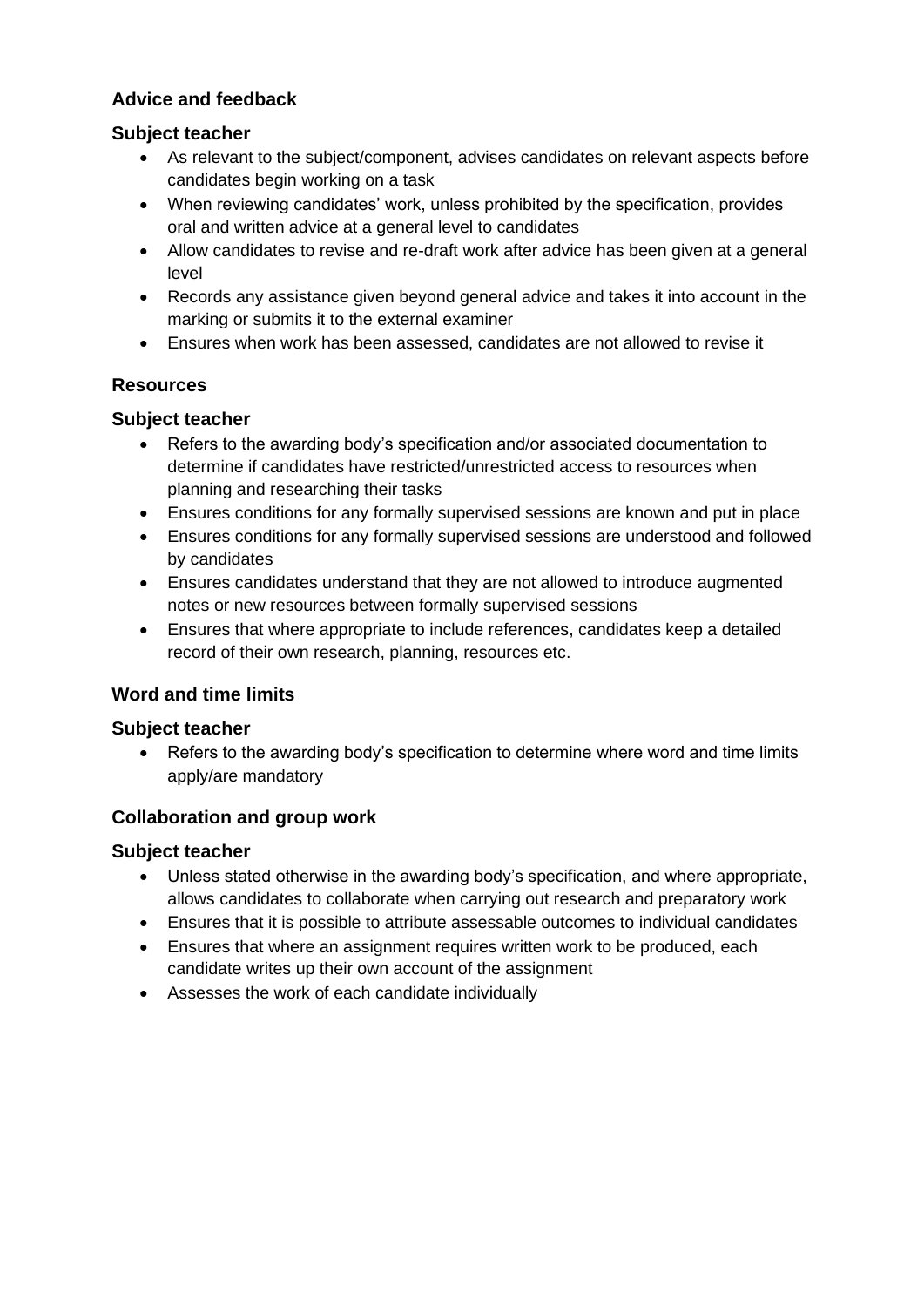## **Advice and feedback**

## **Subject teacher**

- As relevant to the subject/component, advises candidates on relevant aspects before candidates begin working on a task
- When reviewing candidates' work, unless prohibited by the specification, provides oral and written advice at a general level to candidates
- Allow candidates to revise and re-draft work after advice has been given at a general level
- Records any assistance given beyond general advice and takes it into account in the marking or submits it to the external examiner
- Ensures when work has been assessed, candidates are not allowed to revise it

## **Resources**

## **Subject teacher**

- Refers to the awarding body's specification and/or associated documentation to determine if candidates have restricted/unrestricted access to resources when planning and researching their tasks
- Ensures conditions for any formally supervised sessions are known and put in place
- Ensures conditions for any formally supervised sessions are understood and followed by candidates
- Ensures candidates understand that they are not allowed to introduce augmented notes or new resources between formally supervised sessions
- Ensures that where appropriate to include references, candidates keep a detailed record of their own research, planning, resources etc.

## **Word and time limits**

## **Subject teacher**

• Refers to the awarding body's specification to determine where word and time limits apply/are mandatory

## **Collaboration and group work**

- Unless stated otherwise in the awarding body's specification, and where appropriate, allows candidates to collaborate when carrying out research and preparatory work
- Ensures that it is possible to attribute assessable outcomes to individual candidates
- Ensures that where an assignment requires written work to be produced, each candidate writes up their own account of the assignment
- Assesses the work of each candidate individually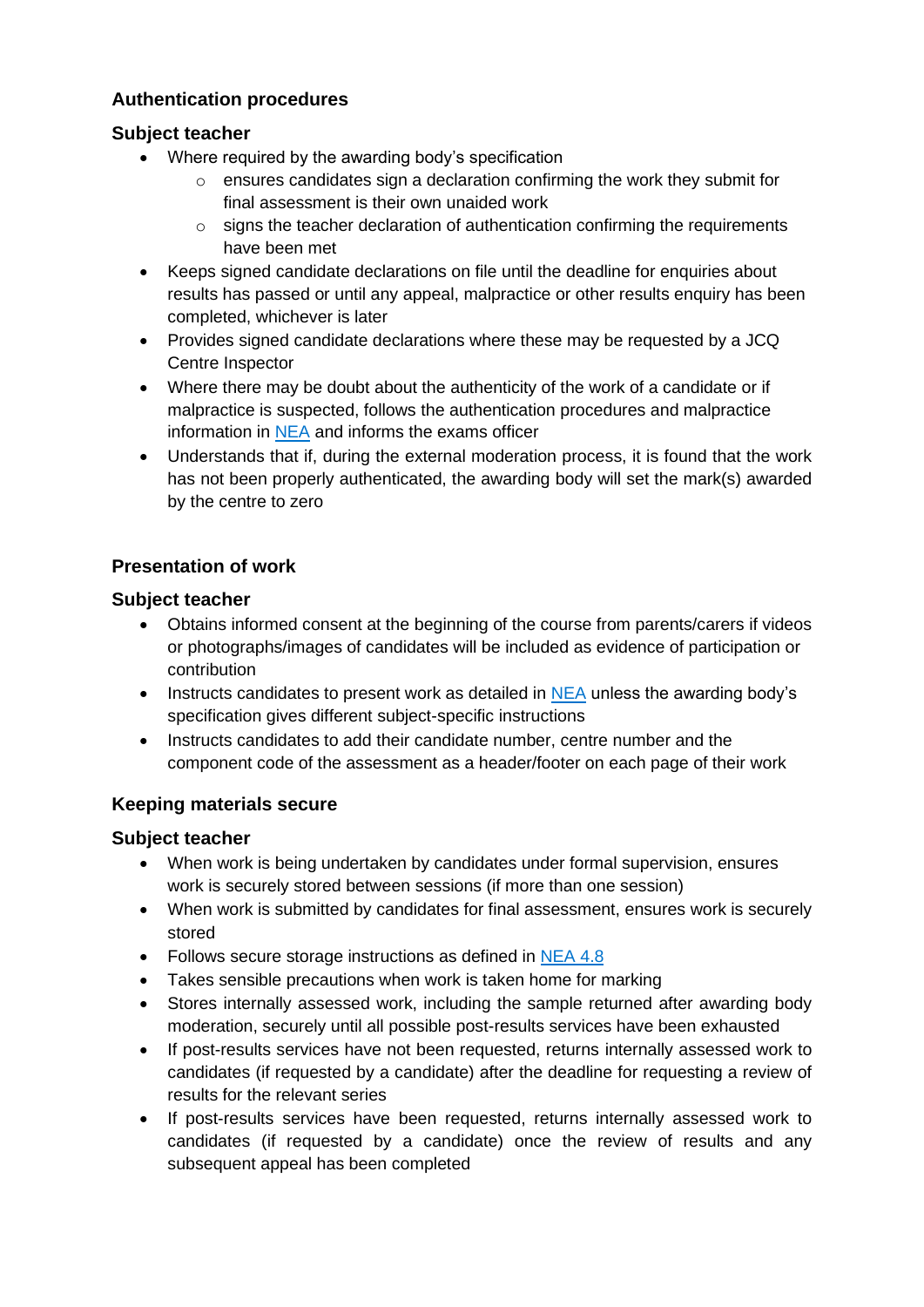## **Authentication procedures**

## **Subject teacher**

- Where required by the awarding body's specification
	- $\circ$  ensures candidates sign a declaration confirming the work they submit for final assessment is their own unaided work
	- $\circ$  signs the teacher declaration of authentication confirming the requirements have been met
- Keeps signed candidate declarations on file until the deadline for enquiries about results has passed or until any appeal, malpractice or other results enquiry has been completed, whichever is later
- Provides signed candidate declarations where these may be requested by a JCQ Centre Inspector
- Where there may be doubt about the authenticity of the work of a candidate or if malpractice is suspected, follows the authentication procedures and malpractice information in [NEA](http://www.jcq.org.uk/exams-office/non-examination-assessments) and informs the exams officer
- Understands that if, during the external moderation process, it is found that the work has not been properly authenticated, the awarding body will set the mark(s) awarded by the centre to zero

## **Presentation of work**

## **Subject teacher**

- Obtains informed consent at the beginning of the course from parents/carers if videos or photographs/images of candidates will be included as evidence of participation or contribution
- Instructs candidates to present work as detailed in [NEA](http://www.jcq.org.uk/exams-office/non-examination-assessments) unless the awarding body's specification gives different subject-specific instructions
- Instructs candidates to add their candidate number, centre number and the component code of the assessment as a header/footer on each page of their work

## **Keeping materials secure**

- When work is being undertaken by candidates under formal supervision, ensures work is securely stored between sessions (if more than one session)
- When work is submitted by candidates for final assessment, ensures work is securely stored
- Follows secure storage instructions as defined in [NEA](http://www.jcq.org.uk/exams-office/non-examination-assessments) 4.8
- Takes sensible precautions when work is taken home for marking
- Stores internally assessed work, including the sample returned after awarding body moderation, securely until all possible post-results services have been exhausted
- If post-results services have not been requested, returns internally assessed work to candidates (if requested by a candidate) after the deadline for requesting a review of results for the relevant series
- If post-results services have been requested, returns internally assessed work to candidates (if requested by a candidate) once the review of results and any subsequent appeal has been completed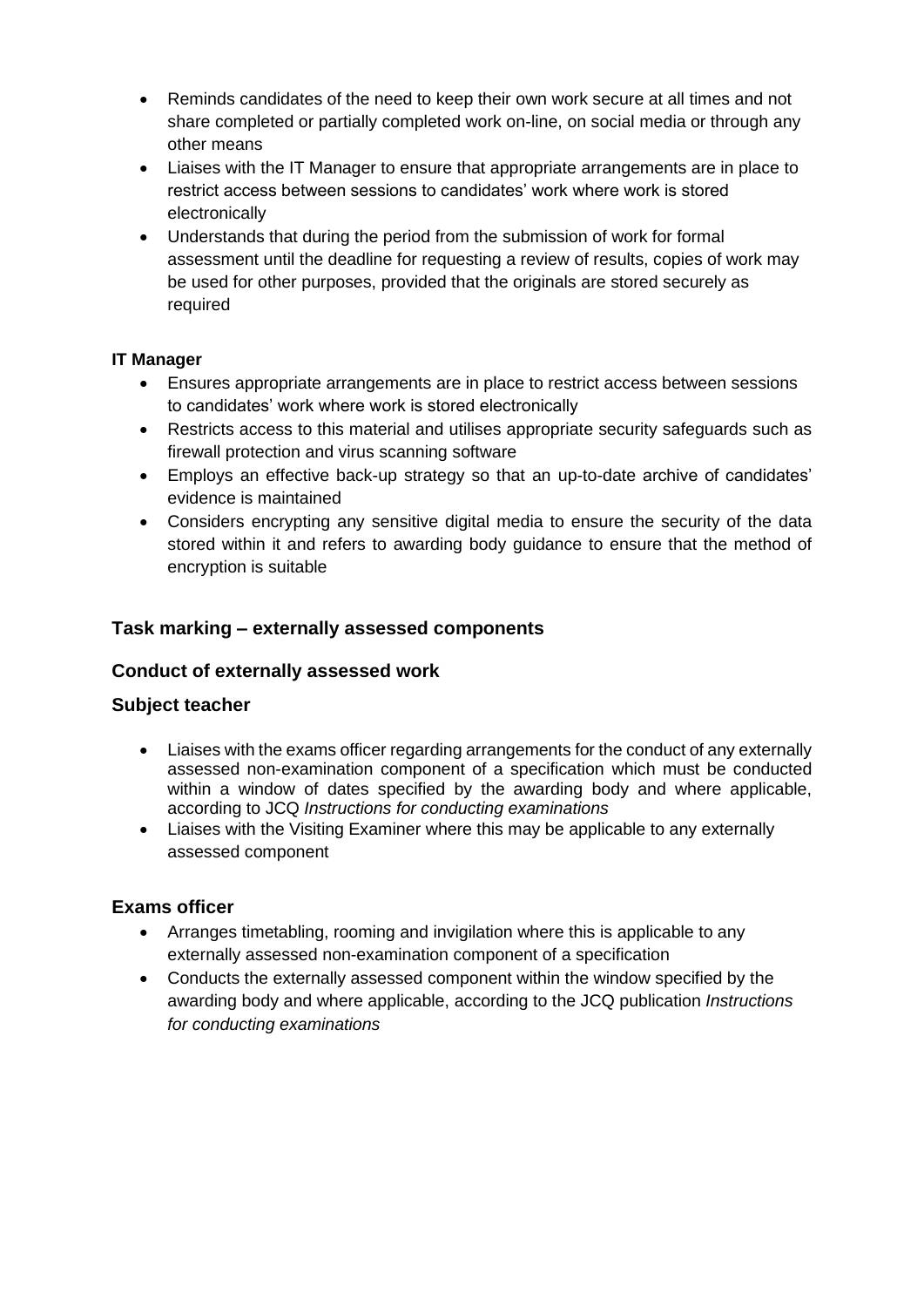- Reminds candidates of the need to keep their own work secure at all times and not share completed or partially completed work on-line, on social media or through any other means
- Liaises with the IT Manager to ensure that appropriate arrangements are in place to restrict access between sessions to candidates' work where work is stored electronically
- Understands that during the period from the submission of work for formal assessment until the deadline for requesting a review of results, copies of work may be used for other purposes, provided that the originals are stored securely as required

#### **IT Manager**

- Ensures appropriate arrangements are in place to restrict access between sessions to candidates' work where work is stored electronically
- Restricts access to this material and utilises appropriate security safeguards such as firewall protection and virus scanning software
- Employs an effective back-up strategy so that an up-to-date archive of candidates' evidence is maintained
- Considers encrypting any sensitive digital media to ensure the security of the data stored within it and refers to awarding body guidance to ensure that the method of encryption is suitable

## **Task marking – externally assessed components**

#### **Conduct of externally assessed work**

#### **Subject teacher**

- Liaises with the exams officer regarding arrangements for the conduct of any externally assessed non-examination component of a specification which must be conducted within a window of dates specified by the awarding body and where applicable, according to JCQ *Instructions for conducting examinations*
- Liaises with the Visiting Examiner where this may be applicable to any externally assessed component

- Arranges timetabling, rooming and invigilation where this is applicable to any externally assessed non-examination component of a specification
- Conducts the externally assessed component within the window specified by the awarding body and where applicable, according to the JCQ publication *Instructions for conducting examinations*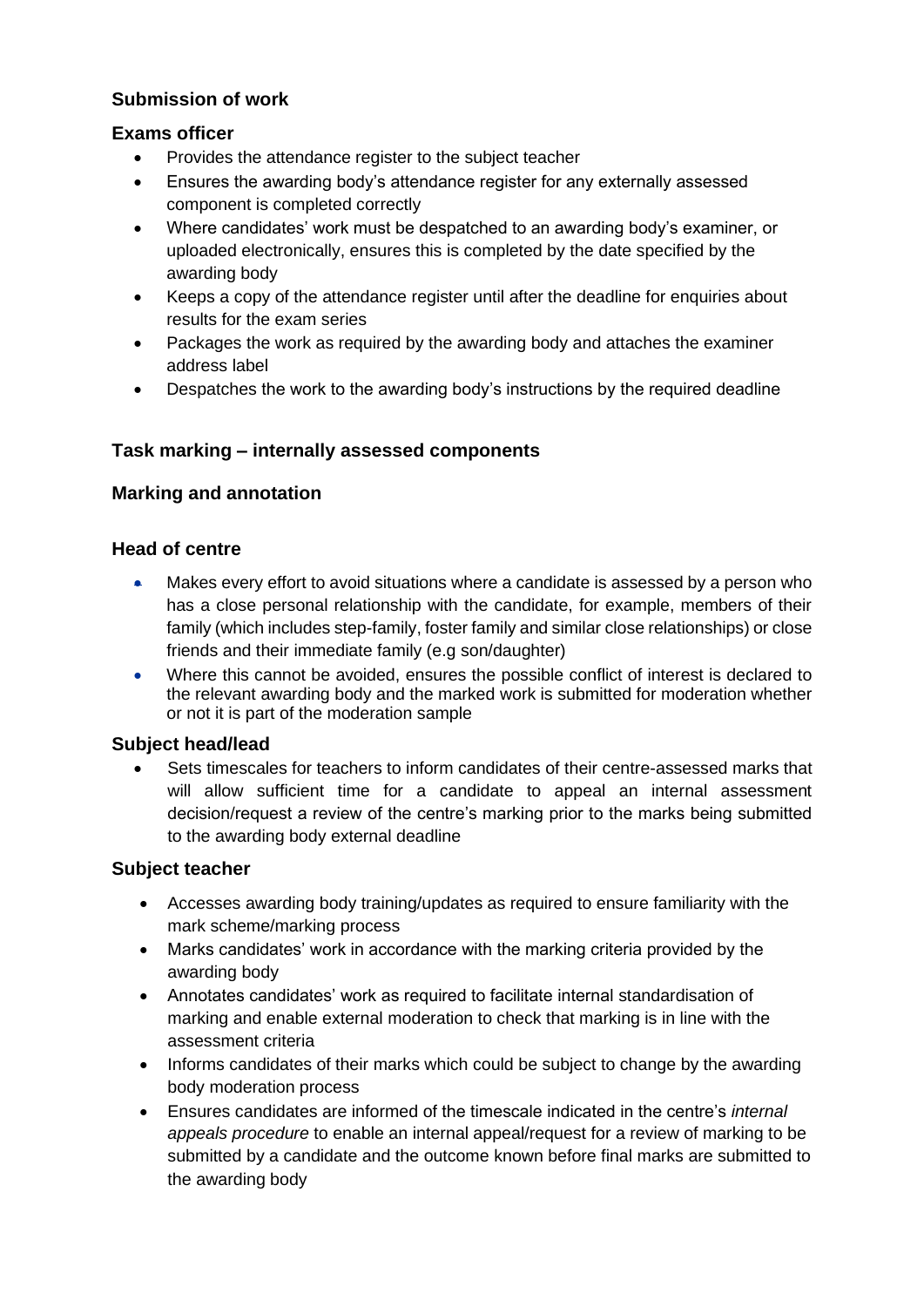## **Submission of work**

#### **Exams officer**

- Provides the attendance register to the subject teacher
- Ensures the awarding body's attendance register for any externally assessed component is completed correctly
- Where candidates' work must be despatched to an awarding body's examiner, or uploaded electronically, ensures this is completed by the date specified by the awarding body
- Keeps a copy of the attendance register until after the deadline for enquiries about results for the exam series
- Packages the work as required by the awarding body and attaches the examiner address label
- Despatches the work to the awarding body's instructions by the required deadline

## **Task marking – internally assessed components**

## **Marking and annotation**

#### **Head of centre**

- Makes every effort to avoid situations where a candidate is assessed by a person who has a close personal relationship with the candidate, for example, members of their family (which includes step-family, foster family and similar close relationships) or close friends and their immediate family (e.g son/daughter)
- Where this cannot be avoided, ensures the possible conflict of interest is declared to the relevant awarding body and the marked work is submitted for moderation whether or not it is part of the moderation sample

#### **Subject head/lead**

• Sets timescales for teachers to inform candidates of their centre-assessed marks that will allow sufficient time for a candidate to appeal an internal assessment decision/request a review of the centre's marking prior to the marks being submitted to the awarding body external deadline

- Accesses awarding body training/updates as required to ensure familiarity with the mark scheme/marking process
- Marks candidates' work in accordance with the marking criteria provided by the awarding body
- Annotates candidates' work as required to facilitate internal standardisation of marking and enable external moderation to check that marking is in line with the assessment criteria
- Informs candidates of their marks which could be subject to change by the awarding body moderation process
- Ensures candidates are informed of the timescale indicated in the centre's *internal appeals procedure* to enable an internal appeal/request for a review of marking to be submitted by a candidate and the outcome known before final marks are submitted to the awarding body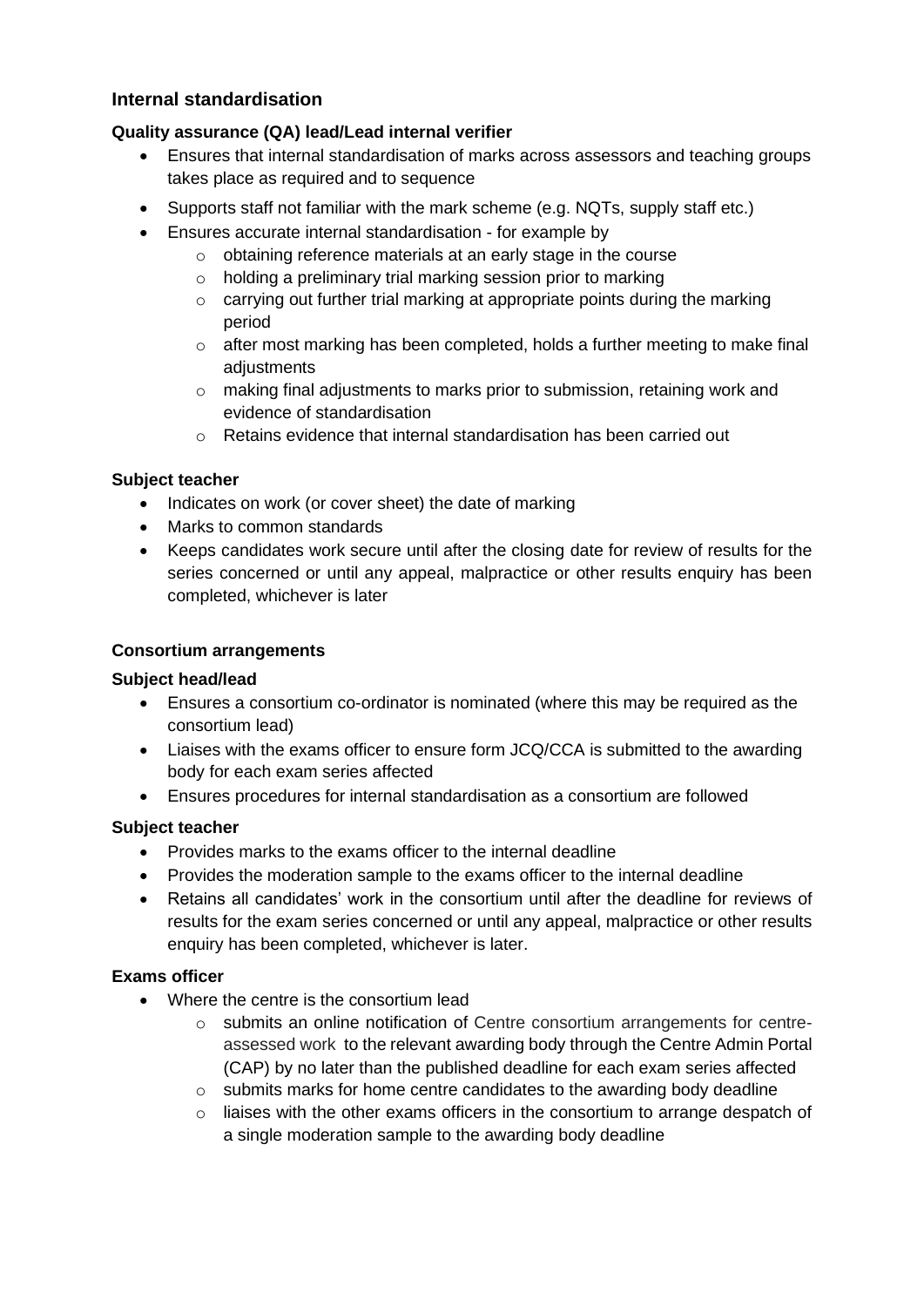## **Internal standardisation**

#### **Quality assurance (QA) lead/Lead internal verifier**

- Ensures that internal standardisation of marks across assessors and teaching groups takes place as required and to sequence
- Supports staff not familiar with the mark scheme (e.g. NQTs, supply staff etc.)
- Ensures accurate internal standardisation for example by
	- o obtaining reference materials at an early stage in the course
	- o holding a preliminary trial marking session prior to marking
	- o carrying out further trial marking at appropriate points during the marking period
	- o after most marking has been completed, holds a further meeting to make final adjustments
	- o making final adjustments to marks prior to submission, retaining work and evidence of standardisation
	- o Retains evidence that internal standardisation has been carried out

#### **Subject teacher**

- Indicates on work (or cover sheet) the date of marking
- Marks to common standards
- Keeps candidates work secure until after the closing date for review of results for the series concerned or until any appeal, malpractice or other results enquiry has been completed, whichever is later

#### **Consortium arrangements**

#### **Subject head/lead**

- Ensures a consortium co-ordinator is nominated (where this may be required as the consortium lead)
- Liaises with the exams officer to ensure form JCQ/CCA is submitted to the awarding body for each exam series affected
- Ensures procedures for internal standardisation as a consortium are followed

#### **Subject teacher**

- Provides marks to the exams officer to the internal deadline
- Provides the moderation sample to the exams officer to the internal deadline
- Retains all candidates' work in the consortium until after the deadline for reviews of results for the exam series concerned or until any appeal, malpractice or other results enquiry has been completed, whichever is later.

- Where the centre is the consortium lead
	- $\circ$  submits an online notification of Centre consortium arrangements for centreassessed work to the relevant awarding body through the Centre Admin Portal (CAP) by no later than the published deadline for each exam series affected
	- $\circ$  submits marks for home centre candidates to the awarding body deadline
	- $\circ$  liaises with the other exams officers in the consortium to arrange despatch of a single moderation sample to the awarding body deadline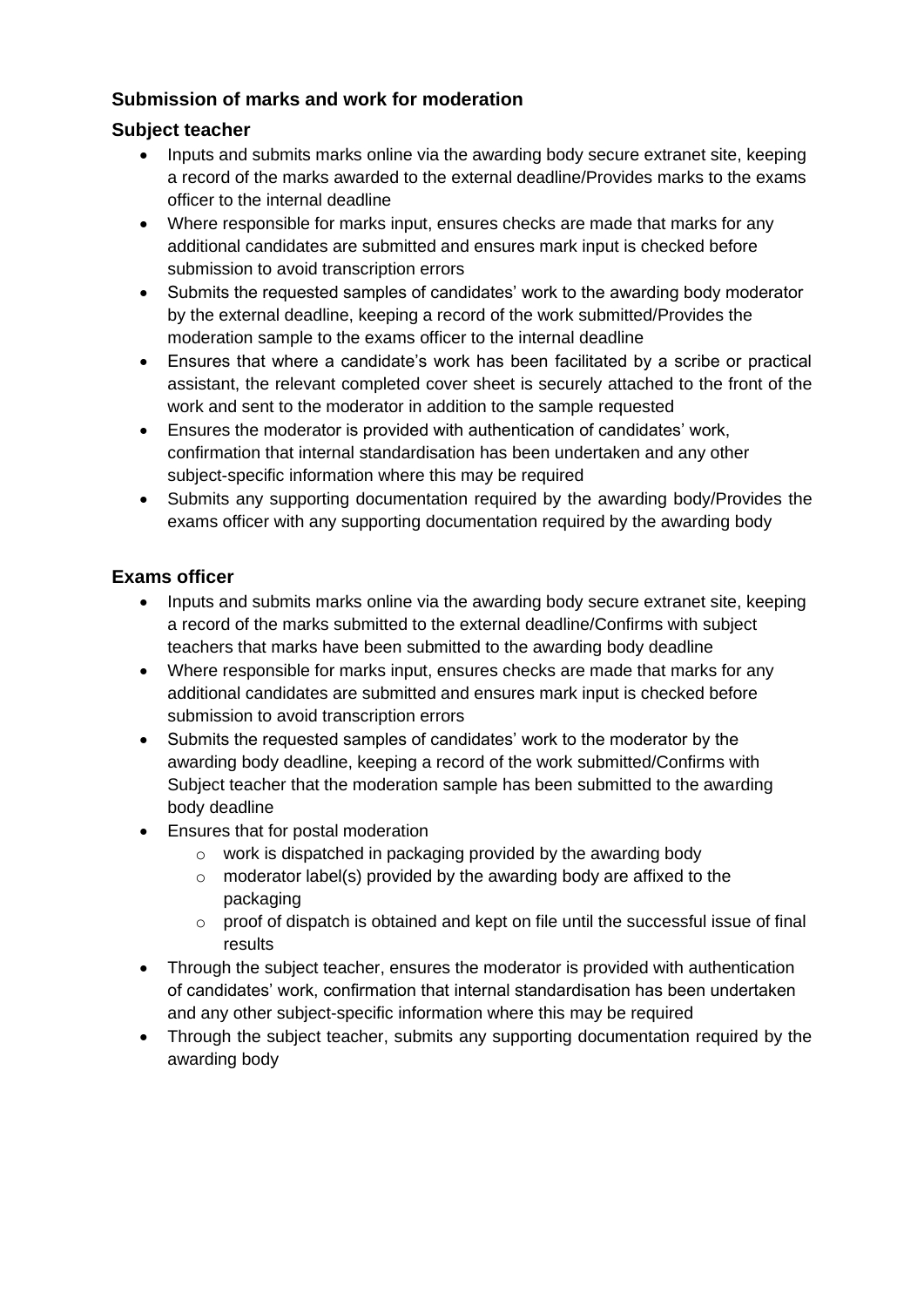## **Submission of marks and work for moderation**

## **Subject teacher**

- Inputs and submits marks online via the awarding body secure extranet site, keeping a record of the marks awarded to the external deadline/Provides marks to the exams officer to the internal deadline
- Where responsible for marks input, ensures checks are made that marks for any additional candidates are submitted and ensures mark input is checked before submission to avoid transcription errors
- Submits the requested samples of candidates' work to the awarding body moderator by the external deadline, keeping a record of the work submitted/Provides the moderation sample to the exams officer to the internal deadline
- Ensures that where a candidate's work has been facilitated by a scribe or practical assistant, the relevant completed cover sheet is securely attached to the front of the work and sent to the moderator in addition to the sample requested
- Ensures the moderator is provided with authentication of candidates' work, confirmation that internal standardisation has been undertaken and any other subject-specific information where this may be required
- Submits any supporting documentation required by the awarding body/Provides the exams officer with any supporting documentation required by the awarding body

- Inputs and submits marks online via the awarding body secure extranet site, keeping a record of the marks submitted to the external deadline/Confirms with subject teachers that marks have been submitted to the awarding body deadline
- Where responsible for marks input, ensures checks are made that marks for any additional candidates are submitted and ensures mark input is checked before submission to avoid transcription errors
- Submits the requested samples of candidates' work to the moderator by the awarding body deadline, keeping a record of the work submitted/Confirms with Subject teacher that the moderation sample has been submitted to the awarding body deadline
- Ensures that for postal moderation
	- o work is dispatched in packaging provided by the awarding body
	- o moderator label(s) provided by the awarding body are affixed to the packaging
	- o proof of dispatch is obtained and kept on file until the successful issue of final results
- Through the subject teacher, ensures the moderator is provided with authentication of candidates' work, confirmation that internal standardisation has been undertaken and any other subject-specific information where this may be required
- Through the subject teacher, submits any supporting documentation required by the awarding body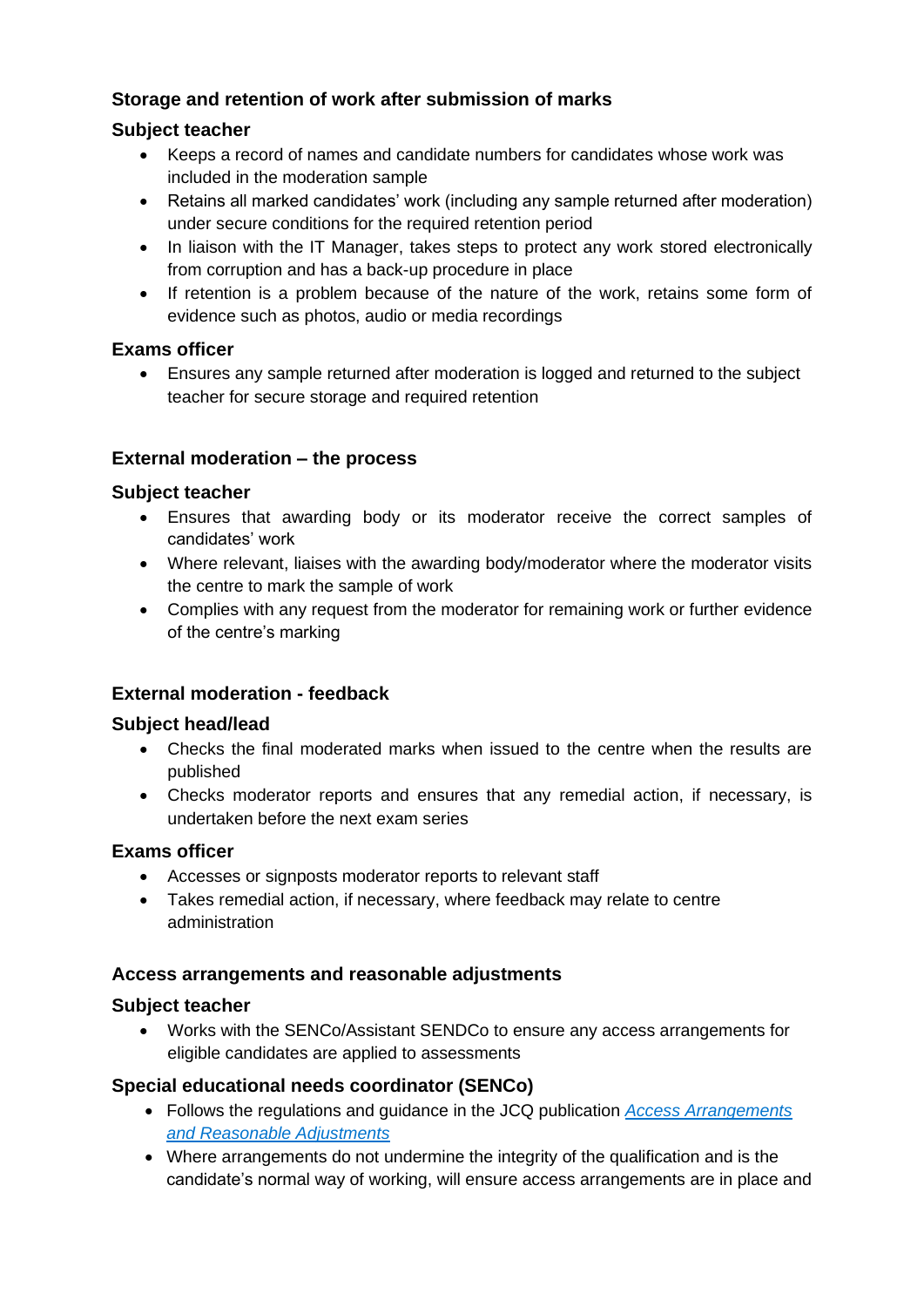## **Storage and retention of work after submission of marks**

## **Subject teacher**

- Keeps a record of names and candidate numbers for candidates whose work was included in the moderation sample
- Retains all marked candidates' work (including any sample returned after moderation) under secure conditions for the required retention period
- In liaison with the IT Manager, takes steps to protect any work stored electronically from corruption and has a back-up procedure in place
- If retention is a problem because of the nature of the work, retains some form of evidence such as photos, audio or media recordings

## **Exams officer**

• Ensures any sample returned after moderation is logged and returned to the subject teacher for secure storage and required retention

## **External moderation – the process**

## **Subject teacher**

- Ensures that awarding body or its moderator receive the correct samples of candidates' work
- Where relevant, liaises with the awarding body/moderator where the moderator visits the centre to mark the sample of work
- Complies with any request from the moderator for remaining work or further evidence of the centre's marking

## **External moderation - feedback**

#### **Subject head/lead**

- Checks the final moderated marks when issued to the centre when the results are published
- Checks moderator reports and ensures that any remedial action, if necessary, is undertaken before the next exam series

#### **Exams officer**

- Accesses or signposts moderator reports to relevant staff
- Takes remedial action, if necessary, where feedback may relate to centre administration

#### **Access arrangements and reasonable adjustments**

#### **Subject teacher**

• Works with the SENCo/Assistant SENDCo to ensure any access arrangements for eligible candidates are applied to assessments

#### **Special educational needs coordinator (SENCo)**

- Follows the regulations and guidance in the JCQ publication *[Access Arrangements](http://www.jcq.org.uk/exams-office/access-arrangements-and-special-consideration)  [and Reasonable Adjustments](http://www.jcq.org.uk/exams-office/access-arrangements-and-special-consideration)*
- Where arrangements do not undermine the integrity of the qualification and is the candidate's normal way of working, will ensure access arrangements are in place and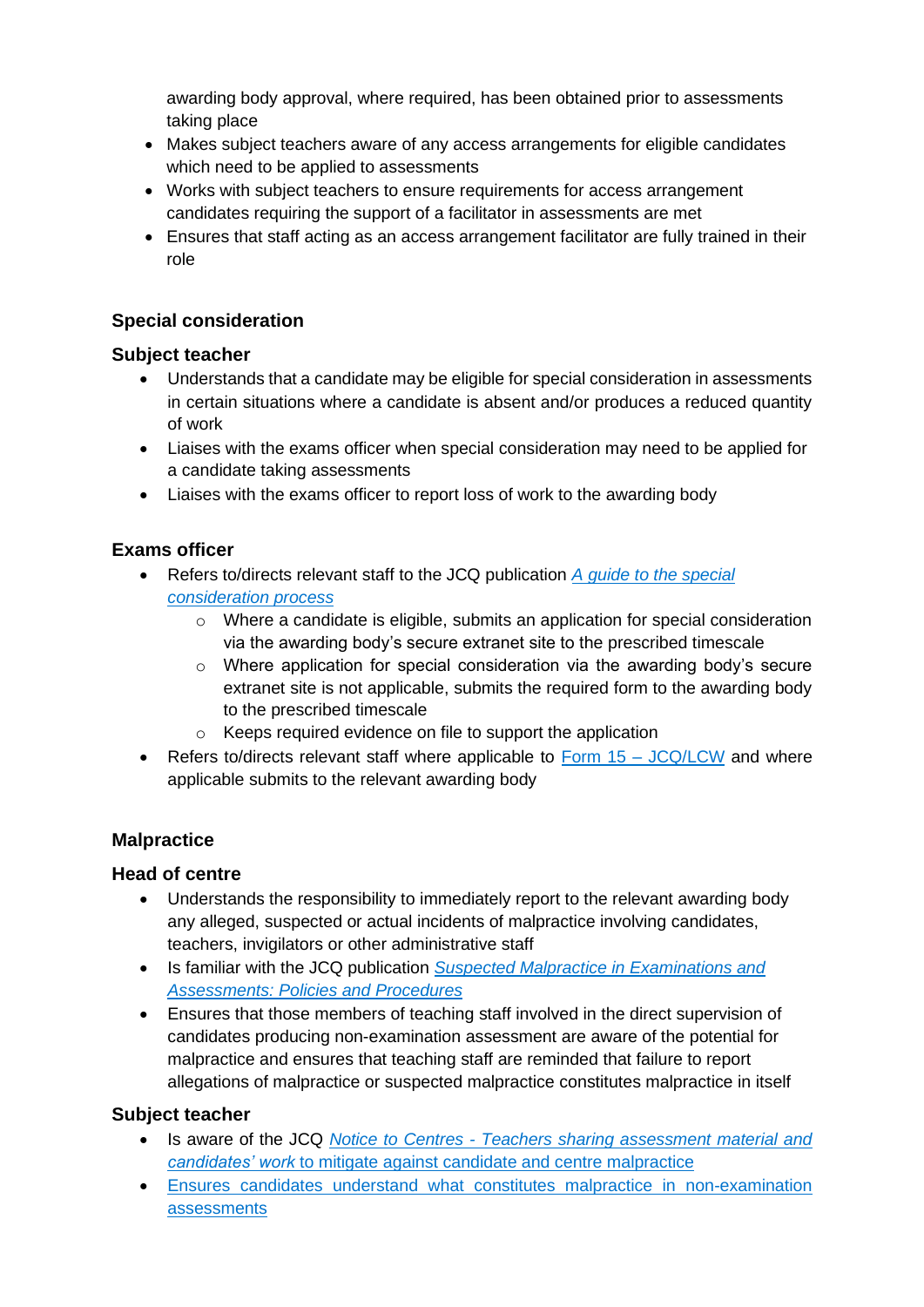awarding body approval, where required, has been obtained prior to assessments taking place

- Makes subject teachers aware of any access arrangements for eligible candidates which need to be applied to assessments
- Works with subject teachers to ensure requirements for access arrangement candidates requiring the support of a facilitator in assessments are met
- Ensures that staff acting as an access arrangement facilitator are fully trained in their role

## **Special consideration**

## **Subject teacher**

- Understands that a candidate may be eligible for special consideration in assessments in certain situations where a candidate is absent and/or produces a reduced quantity of work
- Liaises with the exams officer when special consideration may need to be applied for a candidate taking assessments
- Liaises with the exams officer to report loss of work to the awarding body

## **Exams officer**

- Refers to/directs relevant staff to the JCQ publication *[A guide to the special](http://www.jcq.org.uk/exams-office/access-arrangements-and-special-consideration)  [consideration process](http://www.jcq.org.uk/exams-office/access-arrangements-and-special-consideration)* 
	- o Where a candidate is eligible, submits an application for special consideration via the awarding body's secure extranet site to the prescribed timescale
	- o Where application for special consideration via the awarding body's secure extranet site is not applicable, submits the required form to the awarding body to the prescribed timescale
	- o Keeps required evidence on file to support the application
- Refers to/directs relevant staff where applicable to Form 15 JCQ/LCW and where applicable submits to the relevant awarding body

## **Malpractice**

#### **Head of centre**

- Understands the responsibility to immediately report to the relevant awarding body any alleged, suspected or actual incidents of malpractice involving candidates, teachers, invigilators or other administrative staff
- Is familiar with the JCQ publication *[Suspected Malpractice in Examinations and](http://www.jcq.org.uk/exams-office/malpractice)  [Assessments: Policies and Procedures](http://www.jcq.org.uk/exams-office/malpractice)*
- Ensures that those members of teaching staff involved in the direct supervision of candidates producing non-examination assessment are aware of the potential for malpractice and ensures that teaching staff are reminded that failure to report allegations of malpractice or suspected malpractice constitutes malpractice in itself

- Is aware of the JCQ *Notice to Centres - [Teachers sharing assessment material and](http://www.jcq.org.uk/exams-office/non-examination-assessments)  [candidates' work](http://www.jcq.org.uk/exams-office/non-examination-assessments)* to mitigate against candidate and centre malpractice
- Ensures candidates understand what constitutes malpractice in non-examination assessments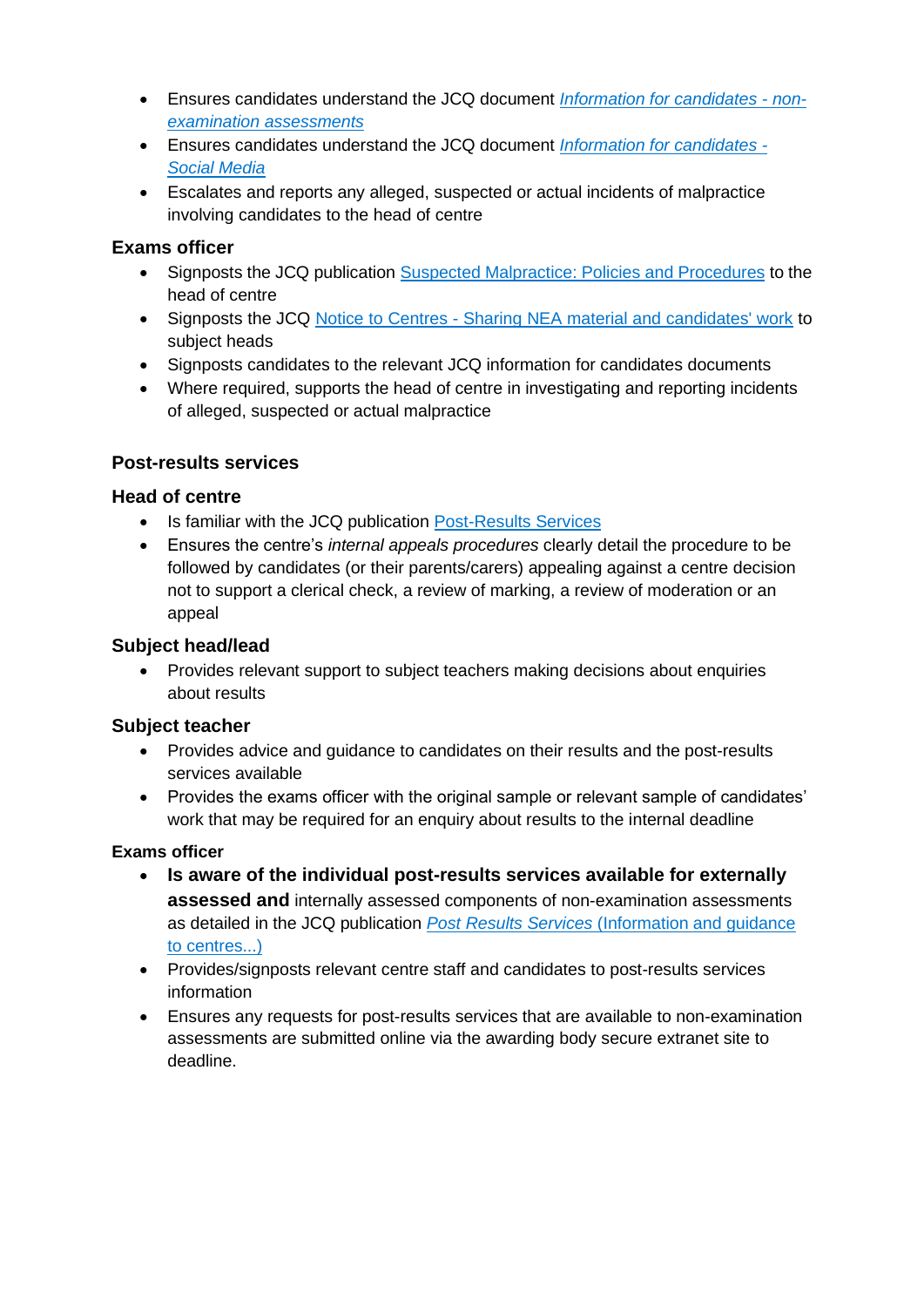- Ensures candidates understand the JCQ document *[Information for candidates -](http://www.jcq.org.uk/exams-office/information-for-candidates-documents) non[examination assessments](http://www.jcq.org.uk/exams-office/information-for-candidates-documents)*
- Ensures candidates understand the JCQ document *[Information for candidates -](http://www.jcq.org.uk/exams-office/information-for-candidates-documents) [Social Media](http://www.jcq.org.uk/exams-office/information-for-candidates-documents)*
- Escalates and reports any alleged, suspected or actual incidents of malpractice involving candidates to the head of centre

### **Exams officer**

- Signposts the JCQ publication [Suspected Malpractice: Policies and Procedures](http://www.jcq.org.uk/exams-office/malpractice) to the head of centre
- Signposts the JCQ Notice to Centres [Sharing NEA material and candidates' work](http://www.jcq.org.uk/exams-office/non-examination-assessments) to subject heads
- Signposts candidates to the relevant JCQ information for candidates documents
- Where required, supports the head of centre in investigating and reporting incidents of alleged, suspected or actual malpractice

## **Post-results services**

## **Head of centre**

- Is familiar with the JCQ publication [Post-Results Services](https://www.jcq.org.uk/exams-office/post-results-services)
- Ensures the centre's *internal appeals procedures* clearly detail the procedure to be followed by candidates (or their parents/carers) appealing against a centre decision not to support a clerical check, a review of marking, a review of moderation or an appeal

## **Subject head/lead**

• Provides relevant support to subject teachers making decisions about enquiries about results

## **Subject teacher**

- Provides advice and guidance to candidates on their results and the post-results services available
- Provides the exams officer with the original sample or relevant sample of candidates' work that may be required for an enquiry about results to the internal deadline

- **Is aware of the individual post-results services available for externally assessed and** internally assessed components of non-examination assessments as detailed in the JCQ publication *Post Results Services* [\(Information and guidance](http://www.jcq.org.uk/exams-office/post-results-services)  [to centres...\)](http://www.jcq.org.uk/exams-office/post-results-services)
- Provides/signposts relevant centre staff and candidates to post-results services information
- Ensures any requests for post-results services that are available to non-examination assessments are submitted online via the awarding body secure extranet site to deadline.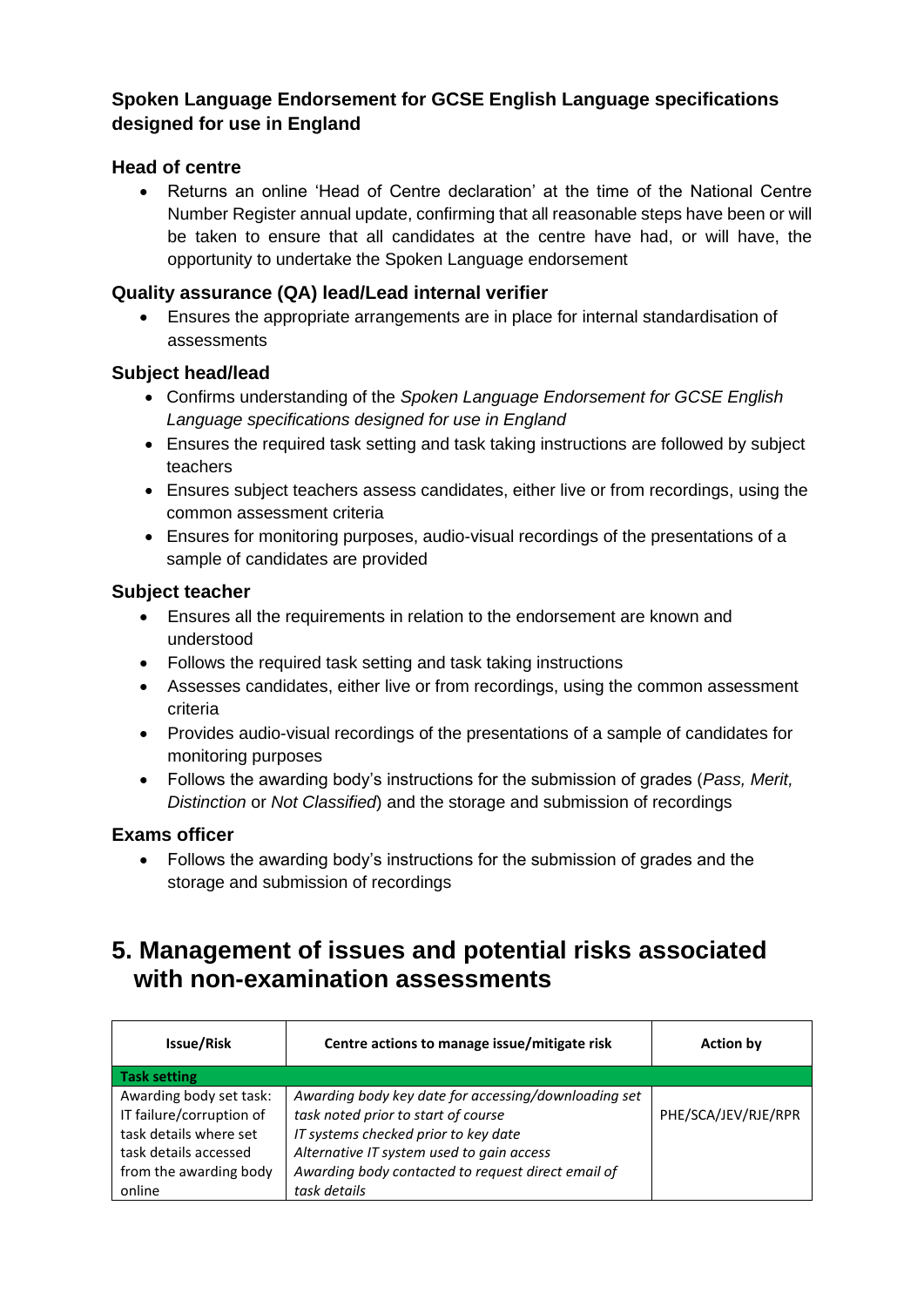## **Spoken Language Endorsement for GCSE English Language specifications designed for use in England**

## **Head of centre**

• Returns an online 'Head of Centre declaration' at the time of the National Centre Number Register annual update, confirming that all reasonable steps have been or will be taken to ensure that all candidates at the centre have had, or will have, the opportunity to undertake the Spoken Language endorsement

## **Quality assurance (QA) lead/Lead internal verifier**

• Ensures the appropriate arrangements are in place for internal standardisation of assessments

## **Subject head/lead**

- Confirms understanding of the *Spoken Language Endorsement for GCSE English Language specifications designed for use in England*
- Ensures the required task setting and task taking instructions are followed by subject teachers
- Ensures subject teachers assess candidates, either live or from recordings, using the common assessment criteria
- Ensures for monitoring purposes, audio-visual recordings of the presentations of a sample of candidates are provided

## **Subject teacher**

- Ensures all the requirements in relation to the endorsement are known and understood
- Follows the required task setting and task taking instructions
- Assesses candidates, either live or from recordings, using the common assessment criteria
- Provides audio-visual recordings of the presentations of a sample of candidates for monitoring purposes
- Follows the awarding body's instructions for the submission of grades (*Pass, Merit, Distinction* or *Not Classified*) and the storage and submission of recordings

#### **Exams officer**

• Follows the awarding body's instructions for the submission of grades and the storage and submission of recordings

## <span id="page-14-0"></span>**5. Management of issues and potential risks associated with non-examination assessments**

| Issue/Risk               | Centre actions to manage issue/mitigate risk         | <b>Action by</b>    |
|--------------------------|------------------------------------------------------|---------------------|
| <b>Task setting</b>      |                                                      |                     |
| Awarding body set task:  | Awarding body key date for accessing/downloading set |                     |
| IT failure/corruption of | task noted prior to start of course                  | PHE/SCA/JEV/RJE/RPR |
| task details where set   | IT systems checked prior to key date                 |                     |
| task details accessed    | Alternative IT system used to gain access            |                     |
| from the awarding body   | Awarding body contacted to request direct email of   |                     |
| online                   | task details                                         |                     |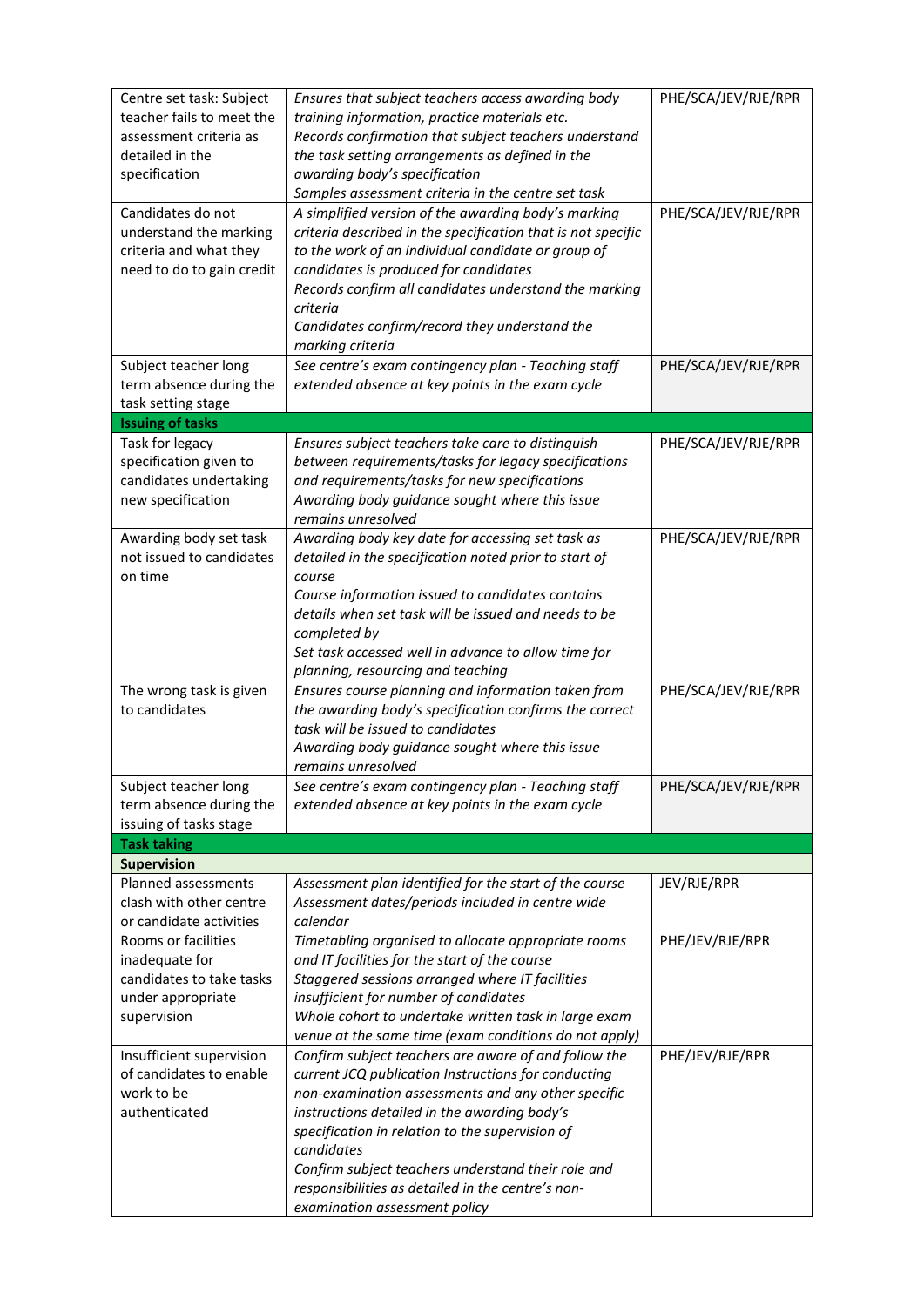| Centre set task: Subject<br>teacher fails to meet the<br>assessment criteria as<br>detailed in the<br>specification | Ensures that subject teachers access awarding body<br>training information, practice materials etc.<br>Records confirmation that subject teachers understand<br>the task setting arrangements as defined in the<br>awarding body's specification<br>Samples assessment criteria in the centre set task                                                                                                                         | PHE/SCA/JEV/RJE/RPR |
|---------------------------------------------------------------------------------------------------------------------|--------------------------------------------------------------------------------------------------------------------------------------------------------------------------------------------------------------------------------------------------------------------------------------------------------------------------------------------------------------------------------------------------------------------------------|---------------------|
| Candidates do not<br>understand the marking<br>criteria and what they<br>need to do to gain credit                  | A simplified version of the awarding body's marking<br>criteria described in the specification that is not specific<br>to the work of an individual candidate or group of<br>candidates is produced for candidates<br>Records confirm all candidates understand the marking<br>criteria<br>Candidates confirm/record they understand the<br>marking criteria                                                                   | PHE/SCA/JEV/RJE/RPR |
| Subject teacher long<br>term absence during the<br>task setting stage                                               | See centre's exam contingency plan - Teaching staff<br>extended absence at key points in the exam cycle                                                                                                                                                                                                                                                                                                                        | PHE/SCA/JEV/RJE/RPR |
| <b>Issuing of tasks</b>                                                                                             |                                                                                                                                                                                                                                                                                                                                                                                                                                |                     |
| Task for legacy<br>specification given to<br>candidates undertaking<br>new specification                            | Ensures subject teachers take care to distinguish<br>between requirements/tasks for legacy specifications<br>and requirements/tasks for new specifications<br>Awarding body guidance sought where this issue<br>remains unresolved                                                                                                                                                                                             | PHE/SCA/JEV/RJE/RPR |
| Awarding body set task<br>not issued to candidates<br>on time                                                       | Awarding body key date for accessing set task as<br>detailed in the specification noted prior to start of<br>course<br>Course information issued to candidates contains<br>details when set task will be issued and needs to be<br>completed by<br>Set task accessed well in advance to allow time for<br>planning, resourcing and teaching                                                                                    | PHE/SCA/JEV/RJE/RPR |
| The wrong task is given<br>to candidates                                                                            | Ensures course planning and information taken from<br>the awarding body's specification confirms the correct<br>task will be issued to candidates<br>Awarding body guidance sought where this issue<br>remains unresolved                                                                                                                                                                                                      | PHE/SCA/JEV/RJE/RPR |
| Subject teacher long<br>term absence during the<br>issuing of tasks stage                                           | See centre's exam contingency plan - Teaching staff<br>extended absence at key points in the exam cycle                                                                                                                                                                                                                                                                                                                        | PHE/SCA/JEV/RJE/RPR |
| <b>Task taking</b>                                                                                                  |                                                                                                                                                                                                                                                                                                                                                                                                                                |                     |
| <b>Supervision</b>                                                                                                  |                                                                                                                                                                                                                                                                                                                                                                                                                                |                     |
| Planned assessments<br>clash with other centre<br>or candidate activities                                           | Assessment plan identified for the start of the course<br>Assessment dates/periods included in centre wide<br>calendar                                                                                                                                                                                                                                                                                                         | JEV/RJE/RPR         |
| Rooms or facilities<br>inadequate for<br>candidates to take tasks<br>under appropriate<br>supervision               | Timetabling organised to allocate appropriate rooms<br>and IT facilities for the start of the course<br>Staggered sessions arranged where IT facilities<br>insufficient for number of candidates<br>Whole cohort to undertake written task in large exam<br>venue at the same time (exam conditions do not apply)                                                                                                              | PHE/JEV/RJE/RPR     |
| Insufficient supervision<br>of candidates to enable<br>work to be<br>authenticated                                  | Confirm subject teachers are aware of and follow the<br>current JCQ publication Instructions for conducting<br>non-examination assessments and any other specific<br>instructions detailed in the awarding body's<br>specification in relation to the supervision of<br>candidates<br>Confirm subject teachers understand their role and<br>responsibilities as detailed in the centre's non-<br>examination assessment policy | PHE/JEV/RJE/RPR     |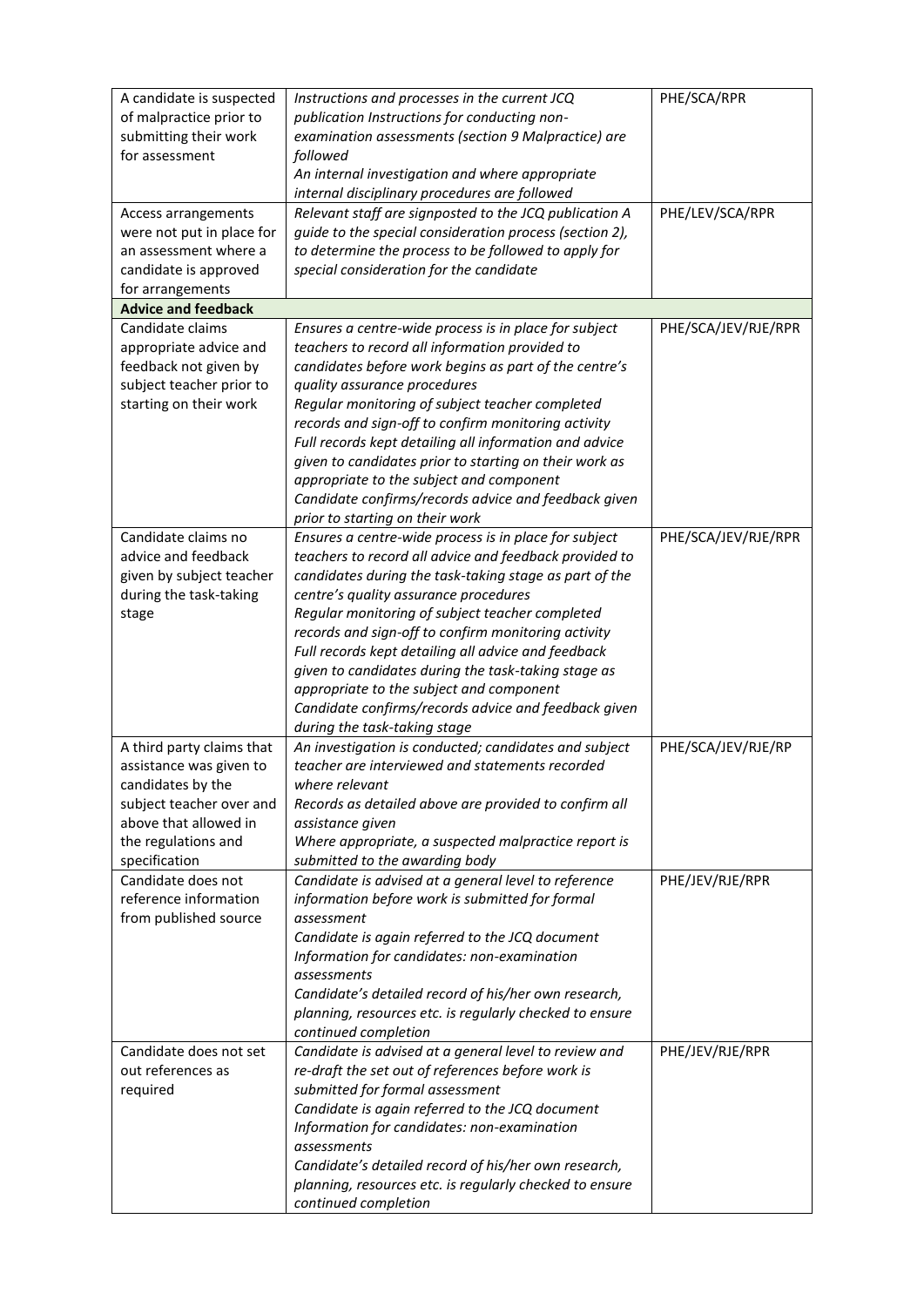| A candidate is suspected                   | Instructions and processes in the current JCQ                                                                    | PHE/SCA/RPR         |
|--------------------------------------------|------------------------------------------------------------------------------------------------------------------|---------------------|
| of malpractice prior to                    | publication Instructions for conducting non-                                                                     |                     |
| submitting their work                      | examination assessments (section 9 Malpractice) are                                                              |                     |
| for assessment                             | followed<br>An internal investigation and where appropriate                                                      |                     |
|                                            | internal disciplinary procedures are followed                                                                    |                     |
| Access arrangements                        | Relevant staff are signposted to the JCQ publication A                                                           | PHE/LEV/SCA/RPR     |
| were not put in place for                  | guide to the special consideration process (section 2),                                                          |                     |
| an assessment where a                      | to determine the process to be followed to apply for                                                             |                     |
| candidate is approved                      | special consideration for the candidate                                                                          |                     |
| for arrangements                           |                                                                                                                  |                     |
| <b>Advice and feedback</b>                 |                                                                                                                  |                     |
| Candidate claims                           | Ensures a centre-wide process is in place for subject                                                            | PHE/SCA/JEV/RJE/RPR |
| appropriate advice and                     | teachers to record all information provided to                                                                   |                     |
| feedback not given by                      | candidates before work begins as part of the centre's                                                            |                     |
| subject teacher prior to                   | quality assurance procedures                                                                                     |                     |
| starting on their work                     | Regular monitoring of subject teacher completed                                                                  |                     |
|                                            | records and sign-off to confirm monitoring activity                                                              |                     |
|                                            | Full records kept detailing all information and advice                                                           |                     |
|                                            | given to candidates prior to starting on their work as                                                           |                     |
|                                            | appropriate to the subject and component                                                                         |                     |
|                                            | Candidate confirms/records advice and feedback given                                                             |                     |
|                                            | prior to starting on their work                                                                                  |                     |
| Candidate claims no<br>advice and feedback | Ensures a centre-wide process is in place for subject                                                            | PHE/SCA/JEV/RJE/RPR |
| given by subject teacher                   | teachers to record all advice and feedback provided to<br>candidates during the task-taking stage as part of the |                     |
| during the task-taking                     | centre's quality assurance procedures                                                                            |                     |
| stage                                      | Regular monitoring of subject teacher completed                                                                  |                     |
|                                            | records and sign-off to confirm monitoring activity                                                              |                     |
|                                            | Full records kept detailing all advice and feedback                                                              |                     |
|                                            | given to candidates during the task-taking stage as                                                              |                     |
|                                            | appropriate to the subject and component                                                                         |                     |
|                                            | Candidate confirms/records advice and feedback given                                                             |                     |
|                                            | during the task-taking stage                                                                                     |                     |
| A third party claims that                  | An investigation is conducted; candidates and subject                                                            | PHE/SCA/JEV/RJE/RP  |
| assistance was given to                    | teacher are interviewed and statements recorded                                                                  |                     |
| candidates by the                          | where relevant                                                                                                   |                     |
| subject teacher over and                   | Records as detailed above are provided to confirm all                                                            |                     |
| above that allowed in                      | assistance given                                                                                                 |                     |
| the regulations and                        | Where appropriate, a suspected malpractice report is                                                             |                     |
| specification                              | submitted to the awarding body                                                                                   |                     |
| Candidate does not                         | Candidate is advised at a general level to reference                                                             | PHE/JEV/RJE/RPR     |
| reference information                      | information before work is submitted for formal                                                                  |                     |
| from published source                      | assessment                                                                                                       |                     |
|                                            | Candidate is again referred to the JCQ document                                                                  |                     |
|                                            | Information for candidates: non-examination<br>assessments                                                       |                     |
|                                            | Candidate's detailed record of his/her own research,                                                             |                     |
|                                            | planning, resources etc. is regularly checked to ensure                                                          |                     |
|                                            | continued completion                                                                                             |                     |
| Candidate does not set                     | Candidate is advised at a general level to review and                                                            | PHE/JEV/RJE/RPR     |
| out references as                          | re-draft the set out of references before work is                                                                |                     |
| required                                   | submitted for formal assessment                                                                                  |                     |
|                                            | Candidate is again referred to the JCQ document                                                                  |                     |
|                                            | Information for candidates: non-examination                                                                      |                     |
|                                            | assessments                                                                                                      |                     |
|                                            | Candidate's detailed record of his/her own research,                                                             |                     |
|                                            | planning, resources etc. is regularly checked to ensure                                                          |                     |
|                                            | continued completion                                                                                             |                     |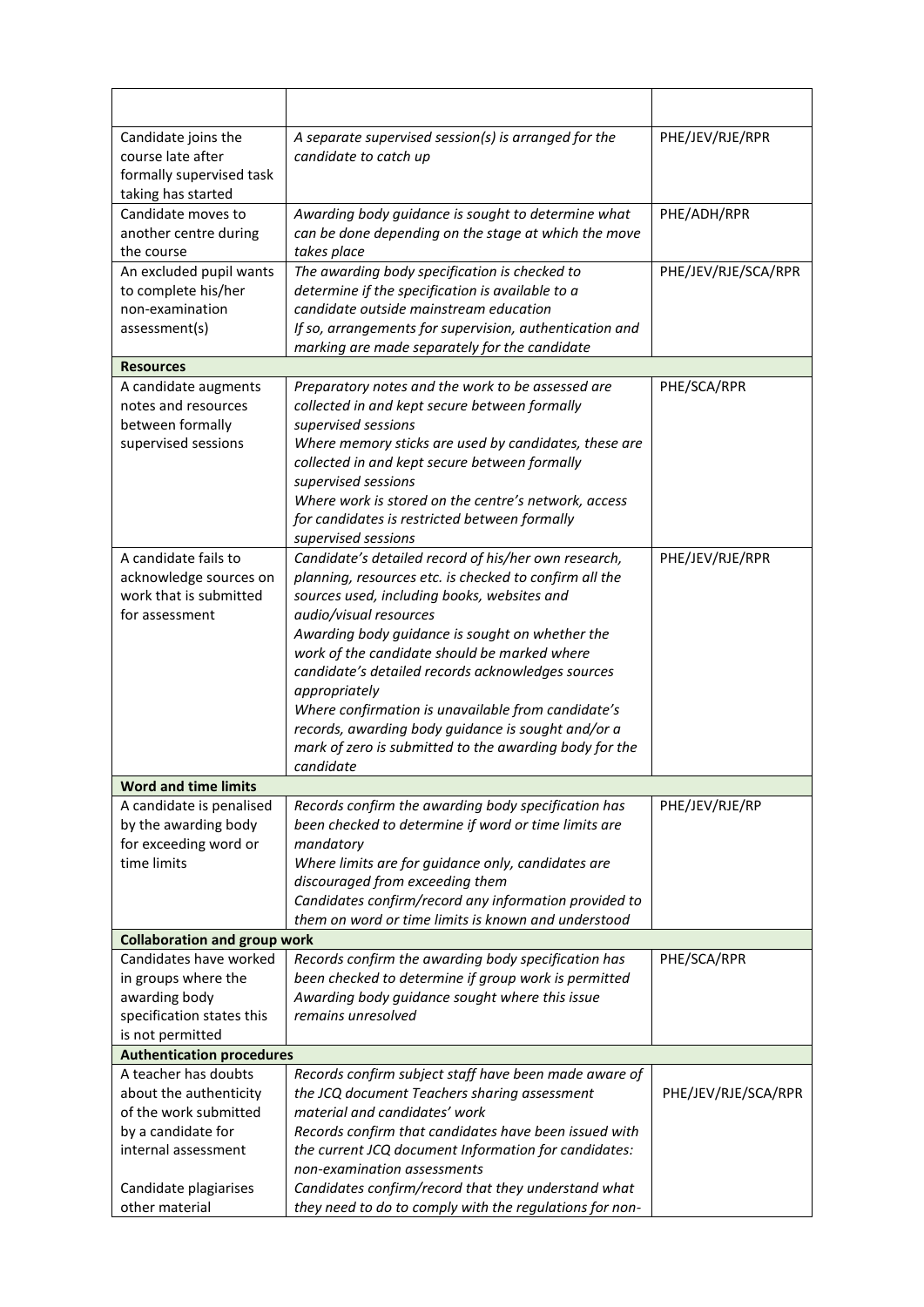| Candidate joins the                                           | A separate supervised session(s) is arranged for the                                            | PHE/JEV/RJE/RPR     |
|---------------------------------------------------------------|-------------------------------------------------------------------------------------------------|---------------------|
| course late after                                             | candidate to catch up                                                                           |                     |
| formally supervised task                                      |                                                                                                 |                     |
| taking has started                                            |                                                                                                 |                     |
| Candidate moves to                                            | Awarding body guidance is sought to determine what                                              | PHE/ADH/RPR         |
| another centre during                                         | can be done depending on the stage at which the move                                            |                     |
| the course<br>An excluded pupil wants                         | takes place<br>The awarding body specification is checked to                                    | PHE/JEV/RJE/SCA/RPR |
| to complete his/her                                           | determine if the specification is available to a                                                |                     |
| non-examination                                               | candidate outside mainstream education                                                          |                     |
| assessment(s)                                                 | If so, arrangements for supervision, authentication and                                         |                     |
|                                                               | marking are made separately for the candidate                                                   |                     |
| <b>Resources</b>                                              |                                                                                                 |                     |
| A candidate augments                                          | Preparatory notes and the work to be assessed are                                               | PHE/SCA/RPR         |
| notes and resources                                           | collected in and kept secure between formally                                                   |                     |
| between formally                                              | supervised sessions                                                                             |                     |
| supervised sessions                                           | Where memory sticks are used by candidates, these are                                           |                     |
|                                                               | collected in and kept secure between formally                                                   |                     |
|                                                               | supervised sessions                                                                             |                     |
|                                                               | Where work is stored on the centre's network, access                                            |                     |
|                                                               | for candidates is restricted between formally                                                   |                     |
|                                                               | supervised sessions                                                                             |                     |
| A candidate fails to                                          | Candidate's detailed record of his/her own research,                                            | PHE/JEV/RJE/RPR     |
| acknowledge sources on                                        | planning, resources etc. is checked to confirm all the                                          |                     |
| work that is submitted                                        | sources used, including books, websites and                                                     |                     |
| for assessment                                                | audio/visual resources                                                                          |                     |
|                                                               | Awarding body guidance is sought on whether the<br>work of the candidate should be marked where |                     |
|                                                               | candidate's detailed records acknowledges sources                                               |                     |
|                                                               | appropriately                                                                                   |                     |
|                                                               | Where confirmation is unavailable from candidate's                                              |                     |
|                                                               | records, awarding body guidance is sought and/or a                                              |                     |
|                                                               | mark of zero is submitted to the awarding body for the                                          |                     |
|                                                               | candidate                                                                                       |                     |
| Word and time limits                                          |                                                                                                 |                     |
| A candidate is penalised                                      | Records confirm the awarding body specification has                                             | PHE/JEV/RJE/RP      |
| by the awarding body                                          | been checked to determine if word or time limits are                                            |                     |
| for exceeding word or                                         | mandatory                                                                                       |                     |
| time limits                                                   | Where limits are for guidance only, candidates are                                              |                     |
|                                                               | discouraged from exceeding them                                                                 |                     |
|                                                               | Candidates confirm/record any information provided to                                           |                     |
|                                                               | them on word or time limits is known and understood                                             |                     |
| <b>Collaboration and group work</b><br>Candidates have worked | Records confirm the awarding body specification has                                             | PHE/SCA/RPR         |
| in groups where the                                           | been checked to determine if group work is permitted                                            |                     |
| awarding body                                                 | Awarding body guidance sought where this issue                                                  |                     |
| specification states this                                     | remains unresolved                                                                              |                     |
| is not permitted                                              |                                                                                                 |                     |
| <b>Authentication procedures</b>                              |                                                                                                 |                     |
| A teacher has doubts                                          | Records confirm subject staff have been made aware of                                           |                     |
| about the authenticity                                        | the JCQ document Teachers sharing assessment                                                    | PHE/JEV/RJE/SCA/RPR |
| of the work submitted                                         | material and candidates' work                                                                   |                     |
| by a candidate for                                            | Records confirm that candidates have been issued with                                           |                     |
| internal assessment                                           | the current JCQ document Information for candidates:                                            |                     |
|                                                               | non-examination assessments                                                                     |                     |
| Candidate plagiarises                                         | Candidates confirm/record that they understand what                                             |                     |
| other material                                                | they need to do to comply with the regulations for non-                                         |                     |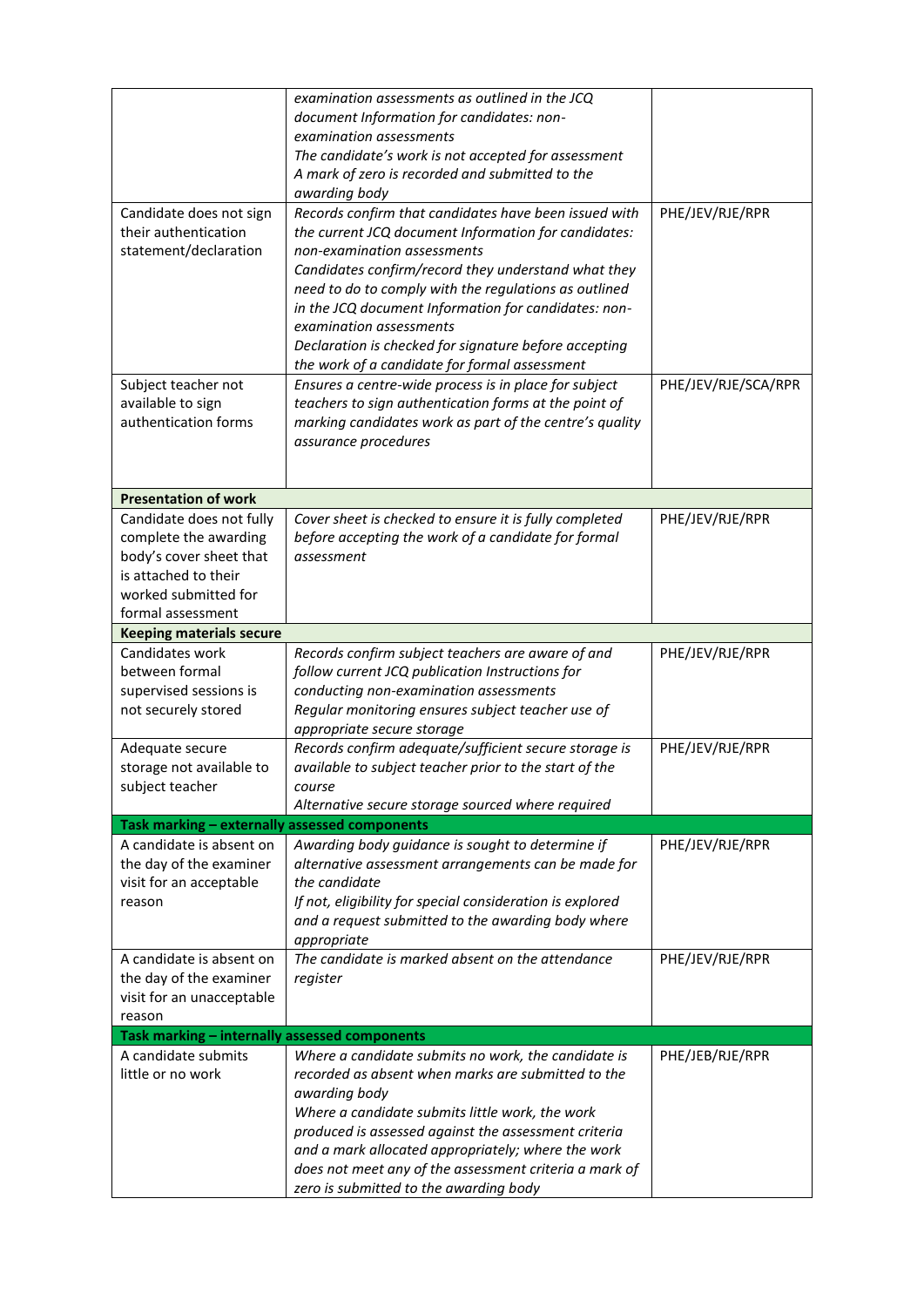|                                                                      | examination assessments as outlined in the JCQ<br>document Information for candidates: non-                    |                     |
|----------------------------------------------------------------------|----------------------------------------------------------------------------------------------------------------|---------------------|
|                                                                      | examination assessments                                                                                        |                     |
|                                                                      | The candidate's work is not accepted for assessment                                                            |                     |
|                                                                      | A mark of zero is recorded and submitted to the                                                                |                     |
|                                                                      | awarding body                                                                                                  |                     |
| Candidate does not sign                                              | Records confirm that candidates have been issued with                                                          | PHE/JEV/RJE/RPR     |
| their authentication                                                 | the current JCQ document Information for candidates:                                                           |                     |
| statement/declaration                                                | non-examination assessments                                                                                    |                     |
|                                                                      | Candidates confirm/record they understand what they                                                            |                     |
|                                                                      | need to do to comply with the regulations as outlined                                                          |                     |
|                                                                      | in the JCQ document Information for candidates: non-                                                           |                     |
|                                                                      | examination assessments                                                                                        |                     |
|                                                                      | Declaration is checked for signature before accepting                                                          |                     |
|                                                                      | the work of a candidate for formal assessment                                                                  | PHE/JEV/RJE/SCA/RPR |
| Subject teacher not<br>available to sign                             | Ensures a centre-wide process is in place for subject<br>teachers to sign authentication forms at the point of |                     |
| authentication forms                                                 | marking candidates work as part of the centre's quality                                                        |                     |
|                                                                      | assurance procedures                                                                                           |                     |
|                                                                      |                                                                                                                |                     |
|                                                                      |                                                                                                                |                     |
| <b>Presentation of work</b>                                          |                                                                                                                |                     |
| Candidate does not fully                                             | Cover sheet is checked to ensure it is fully completed                                                         | PHE/JEV/RJE/RPR     |
| complete the awarding                                                | before accepting the work of a candidate for formal                                                            |                     |
| body's cover sheet that                                              | assessment                                                                                                     |                     |
| is attached to their                                                 |                                                                                                                |                     |
| worked submitted for                                                 |                                                                                                                |                     |
| formal assessment                                                    |                                                                                                                |                     |
| <b>Keeping materials secure</b>                                      |                                                                                                                |                     |
| Candidates work                                                      | Records confirm subject teachers are aware of and                                                              | PHE/JEV/RJE/RPR     |
| between formal                                                       | follow current JCQ publication Instructions for                                                                |                     |
| supervised sessions is                                               | conducting non-examination assessments                                                                         |                     |
| not securely stored                                                  | Regular monitoring ensures subject teacher use of                                                              |                     |
| Adequate secure                                                      | appropriate secure storage<br>Records confirm adequate/sufficient secure storage is                            | PHE/JEV/RJE/RPR     |
| storage not available to                                             | available to subject teacher prior to the start of the                                                         |                     |
| subject teacher                                                      | course                                                                                                         |                     |
|                                                                      | Alternative secure storage sourced where required                                                              |                     |
| Task marking - externally assessed components                        |                                                                                                                |                     |
| A candidate is absent on                                             | Awarding body guidance is sought to determine if                                                               | PHE/JEV/RJE/RPR     |
| the day of the examiner                                              | alternative assessment arrangements can be made for                                                            |                     |
| visit for an acceptable                                              | the candidate                                                                                                  |                     |
| reason                                                               | If not, eligibility for special consideration is explored                                                      |                     |
|                                                                      | and a request submitted to the awarding body where                                                             |                     |
|                                                                      | appropriate                                                                                                    |                     |
| A candidate is absent on                                             | The candidate is marked absent on the attendance                                                               | PHE/JEV/RJE/RPR     |
| the day of the examiner                                              | register                                                                                                       |                     |
| visit for an unacceptable                                            |                                                                                                                |                     |
| reason                                                               |                                                                                                                |                     |
| Task marking - internally assessed components<br>A candidate submits | Where a candidate submits no work, the candidate is                                                            | PHE/JEB/RJE/RPR     |
| little or no work                                                    | recorded as absent when marks are submitted to the                                                             |                     |
|                                                                      | awarding body                                                                                                  |                     |
|                                                                      | Where a candidate submits little work, the work                                                                |                     |
|                                                                      | produced is assessed against the assessment criteria                                                           |                     |
|                                                                      | and a mark allocated appropriately; where the work                                                             |                     |
|                                                                      |                                                                                                                |                     |
|                                                                      | does not meet any of the assessment criteria a mark of                                                         |                     |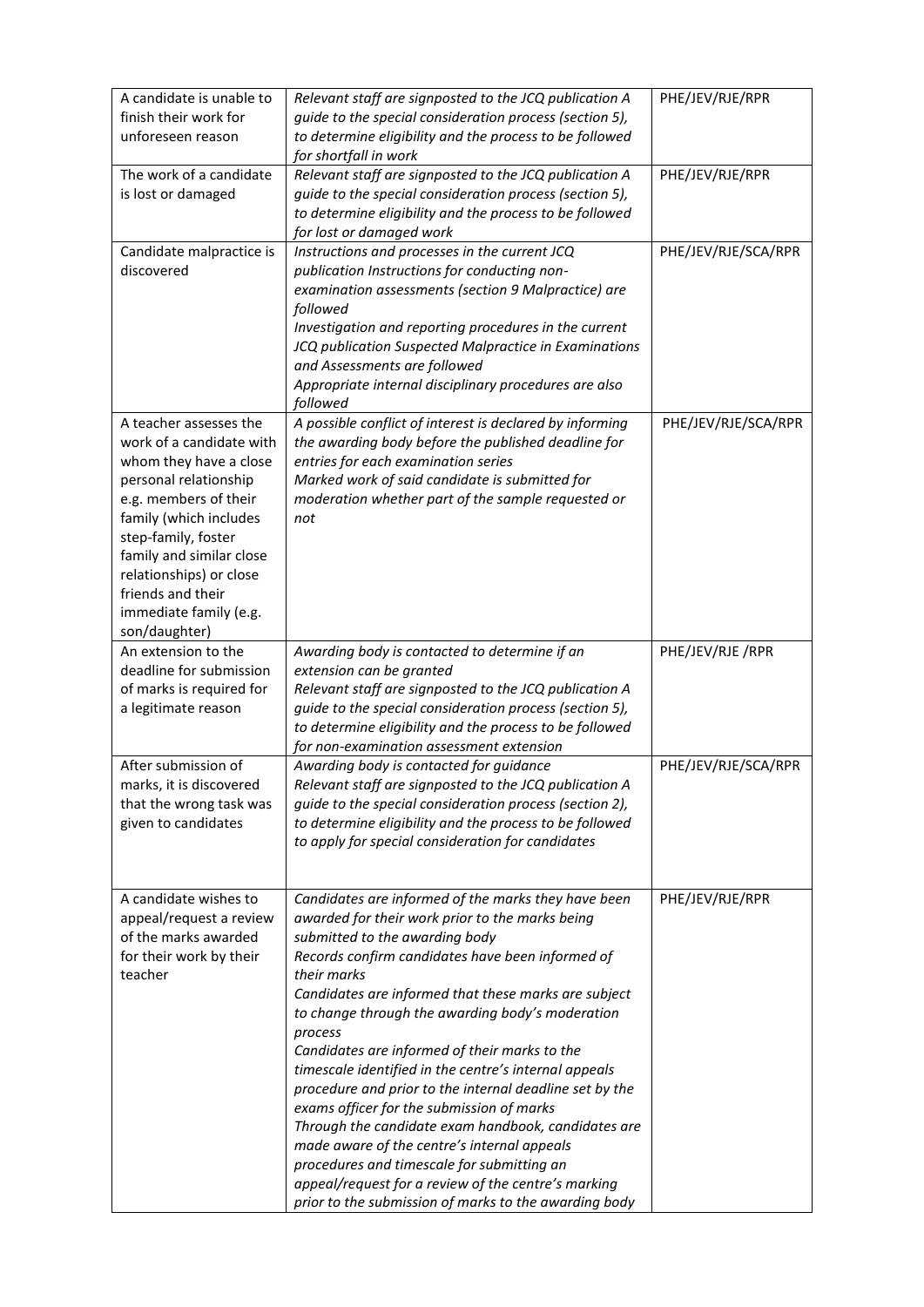| A candidate is unable to<br>finish their work for<br>unforeseen reason                                                                                                                                                                                                                                 | Relevant staff are signposted to the JCQ publication A<br>guide to the special consideration process (section 5),<br>to determine eligibility and the process to be followed<br>for shortfall in work                                                                                                                                                                                                                                                                                                                                                                                                                                                                                                                                                                                                                    | PHE/JEV/RJE/RPR     |
|--------------------------------------------------------------------------------------------------------------------------------------------------------------------------------------------------------------------------------------------------------------------------------------------------------|--------------------------------------------------------------------------------------------------------------------------------------------------------------------------------------------------------------------------------------------------------------------------------------------------------------------------------------------------------------------------------------------------------------------------------------------------------------------------------------------------------------------------------------------------------------------------------------------------------------------------------------------------------------------------------------------------------------------------------------------------------------------------------------------------------------------------|---------------------|
| The work of a candidate<br>is lost or damaged                                                                                                                                                                                                                                                          | Relevant staff are signposted to the JCQ publication A<br>guide to the special consideration process (section 5),<br>to determine eligibility and the process to be followed<br>for lost or damaged work                                                                                                                                                                                                                                                                                                                                                                                                                                                                                                                                                                                                                 | PHE/JEV/RJE/RPR     |
| Candidate malpractice is<br>discovered                                                                                                                                                                                                                                                                 | Instructions and processes in the current JCQ<br>publication Instructions for conducting non-<br>examination assessments (section 9 Malpractice) are<br>followed<br>Investigation and reporting procedures in the current<br>JCQ publication Suspected Malpractice in Examinations<br>and Assessments are followed<br>Appropriate internal disciplinary procedures are also<br>followed                                                                                                                                                                                                                                                                                                                                                                                                                                  | PHE/JEV/RJE/SCA/RPR |
| A teacher assesses the<br>work of a candidate with<br>whom they have a close<br>personal relationship<br>e.g. members of their<br>family (which includes<br>step-family, foster<br>family and similar close<br>relationships) or close<br>friends and their<br>immediate family (e.g.<br>son/daughter) | A possible conflict of interest is declared by informing<br>the awarding body before the published deadline for<br>entries for each examination series<br>Marked work of said candidate is submitted for<br>moderation whether part of the sample requested or<br>not                                                                                                                                                                                                                                                                                                                                                                                                                                                                                                                                                    | PHE/JEV/RJE/SCA/RPR |
| An extension to the<br>deadline for submission<br>of marks is required for<br>a legitimate reason                                                                                                                                                                                                      | Awarding body is contacted to determine if an<br>extension can be granted<br>Relevant staff are signposted to the JCQ publication A<br>guide to the special consideration process (section 5),<br>to determine eligibility and the process to be followed<br>for non-examination assessment extension                                                                                                                                                                                                                                                                                                                                                                                                                                                                                                                    | PHE/JEV/RJE /RPR    |
| After submission of<br>marks, it is discovered<br>that the wrong task was<br>given to candidates                                                                                                                                                                                                       | Awarding body is contacted for guidance<br>Relevant staff are signposted to the JCQ publication A<br>guide to the special consideration process (section 2),<br>to determine eligibility and the process to be followed<br>to apply for special consideration for candidates                                                                                                                                                                                                                                                                                                                                                                                                                                                                                                                                             | PHE/JEV/RJE/SCA/RPR |
| A candidate wishes to<br>appeal/request a review<br>of the marks awarded<br>for their work by their<br>teacher                                                                                                                                                                                         | Candidates are informed of the marks they have been<br>awarded for their work prior to the marks being<br>submitted to the awarding body<br>Records confirm candidates have been informed of<br>their marks<br>Candidates are informed that these marks are subject<br>to change through the awarding body's moderation<br>process<br>Candidates are informed of their marks to the<br>timescale identified in the centre's internal appeals<br>procedure and prior to the internal deadline set by the<br>exams officer for the submission of marks<br>Through the candidate exam handbook, candidates are<br>made aware of the centre's internal appeals<br>procedures and timescale for submitting an<br>appeal/request for a review of the centre's marking<br>prior to the submission of marks to the awarding body | PHE/JEV/RJE/RPR     |